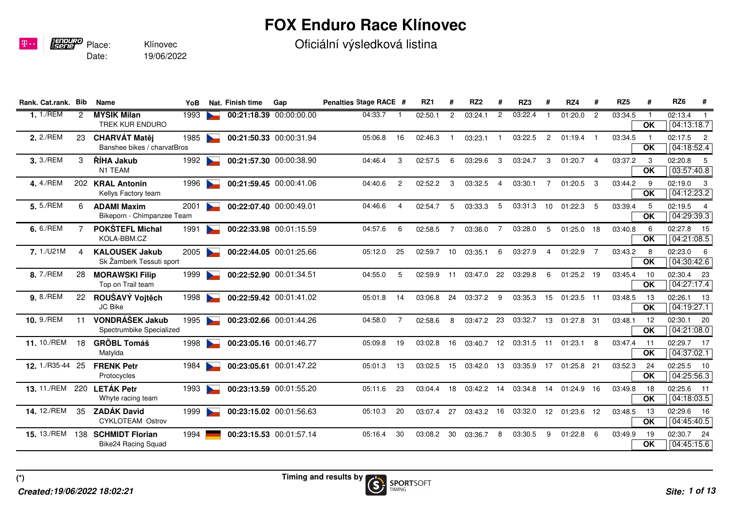## **FOX Enduro Race Klínovec**

Oficiální výsledková listina

| Rank. Cat.rank. Bib  |     | Name                                                | YoB  | Nat. Finish time | Gap                     | Penalties Stage RACE # |                | RZ1     | #              | RZ <sub>2</sub> | #              | RZ3     | #              | RZ4          | #               | RZ <sub>5</sub> | #               | RZ <sub>6</sub><br>#                                |
|----------------------|-----|-----------------------------------------------------|------|------------------|-------------------------|------------------------|----------------|---------|----------------|-----------------|----------------|---------|----------------|--------------|-----------------|-----------------|-----------------|-----------------------------------------------------|
| 1.1/REM              | 2   | <b>MYŠÍK Milan</b><br><b>TREK KUR ENDURO</b>        | 1993 |                  | 00:21:18.39 00:00:00.00 | 04:33.7                |                | 02:50.1 | $\overline{2}$ | 03:24.1         | $\overline{2}$ | 03:22.4 |                | 01:20.0      | $\overline{2}$  | 03:34.5         | $\overline{OK}$ | 02:13.4<br>04:13:18.7                               |
| 2. 2./REM            | 23  | <b>CHARVÁT Matěj</b><br>Banshee bikes / charvatBros | 1985 |                  | 00:21:50.33 00:00:31.94 | 05:06.8                | 16             | 02:46.3 |                | 03:23.1         |                | 03:22.5 | $\overline{2}$ | 01:19.4      |                 | 03:34.5         | OK              | 02:17.5<br>$\overline{\phantom{0}}^2$<br>04:18:52.4 |
| 3.3./REM             | 3   | ŘÍHA Jakub<br>N1 TEAM                               | 1992 |                  | 00:21:57.30 00:00:38.90 | 04:46.4                | 3              | 02:57.5 | 6              | 03:29.6         | 3              | 03:24.7 | 3              | 01:20.7      | $\overline{4}$  | 03:37.2         | -3<br>OK        | 02:20.8<br>- 5<br>03:57:40.8                        |
| 4.4./REM             |     | 202 KRAL Antonin<br>Kellys Factory team             | 1996 |                  | 00:21:59.45 00:00:41.06 | 04:40.6                | 2              | 02:52.2 | 3              | 03:32.5         | $\overline{4}$ | 03:30.1 | 7              | 01:20.5      | -3              | 03:44.2         | -9<br><b>OK</b> | 02:19.0<br>- 3<br>04:12:23.2                        |
| 5.5./REM             | 6   | <b>ADAMI Maxim</b><br>Bikeporn - Chimpanzee Team    | 2001 |                  | 00:22:07.40 00:00:49.01 | 04:46.6                | 4              | 02:54.7 | 5              | 03:33.3         | 5              | 03:31.3 | 10             | 01:22.3      | - 5             | 03:39.4         | 5<br>OK         | 02:19.5<br>$\overline{4}$<br>04:29:39.3             |
| 6.6./REM             |     | <b>POKŠTEFL Michal</b><br>KOLA-BBM.CZ               | 1991 |                  | 00:22:33.98 00:01:15.59 | 04:57.6                | 6              | 02:58.5 |                | 03:36.0         |                | 03:28.0 | 5              | 01:25.0      | - 18            | 03:40.8         | 6<br>OK         | 02:27.8<br>15<br>04:21:08.5                         |
| 7.1./U21M            | Δ   | <b>KALOUSEK Jakub</b><br>Sk Žamberk Tessuti sport   | 2005 |                  | 00:22:44.05 00:01:25.66 | 05:12.0                | 25             | 02:59.7 | 10             | 03:35.1         | 6              | 03:27.9 | 4              | 01:22.9      | $\overline{7}$  | 03:43.2         | 8<br><b>OK</b>  | 02:23.0<br>- 6<br>04:30:42.6                        |
| 8.7./REM             | 28  | <b>MORAWSKI Filip</b><br>Top on Trail team          | 1999 |                  | 00:22:52.90 00:01:34.51 | 04:55.0                | 5              | 02:59.9 | 11             | 03:47.0         | 22             | 03:29.8 | 6              | 01:25.2 19   |                 | 03:45.4         | 10<br>OK        | 02:30.4 23<br>04:27:17.4                            |
| 9.8./REM             | 22  | ROUŠAVÝ Vojtěch<br>JC Bike                          | 1998 |                  | 00:22:59.42 00:01:41.02 | 05:01.8                | 14             | 03:06.8 | 24             | 03:37.2         | 9              | 03:35.3 | 15             | $01:23.5$ 11 |                 | 03:48.5         | 13<br>OK        | 02:26.1<br>13<br>04:19:27.1                         |
| 10. 9./REM           | 11  | VONDRÁŠEK Jakub<br>Spectrumbike Specialized         | 1995 |                  | 00:23:02.66 00:01:44.26 | 04:58.0                | $\overline{7}$ | 02:58.6 | 8              | 03:47.2         | 23             | 03:32.7 | 13             | 01:27.8      | 31              | 03:48.1         | 12<br>OK        | 02:30.1<br>20<br>04:21:08.0                         |
| 11. 10./REM          | 18  | <b>GRÖBL Tomáš</b><br>Matylda                       | 1998 |                  | 00:23:05.16 00:01:46.77 | 05:09.8                | 19             | 03:02.8 | 16             | 03:40.7         | 12             | 03:31.5 | 11             | 01:23.1      | -8              | 03:47.4         | 11<br>OK        | 02:29.7 17<br>04:37:02.1                            |
| <b>12.</b> 1./R35-44 | 25  | <b>FRENK Petr</b><br>Protocycles                    | 1984 |                  | 00:23:05.61 00:01:47.22 | 05:01.3                | 13             | 03:02.5 | 15             | 03:42.0         | 13             | 03:35.9 | 17             | 01:25.8 21   |                 | 03:52.3         | 24<br>OK        | 02:25.5<br>10<br>04:25:56.3                         |
| <b>13.</b> 11./REM   | 220 | <b>LETÁK Petr</b><br>Whyte racing team              | 1993 |                  | 00:23:13.59 00:01:55.20 | 05:11.6                | 23             | 03:04.4 | 18             | 03:42.2         | 14             | 03:34.8 | 14             | 01:24.9 16   |                 | 03:49.8         | 18<br>OK        | 02:25.6<br>$-11$<br>04:18:03.5                      |
| 14. 12./REM          | 35  | <b>ZADÁK David</b><br><b>CYKLOTEAM Ostrov</b>       | 1999 |                  | 00:23:15.02 00:01:56.63 | 05:10.3                | 20             | 03:07.4 | 27             | 03:43.2         | 16             | 03:32.0 | 12             | 01:23.6      | -12             | 03:48.5         | 13<br>OK        | 02:29.6<br>16<br>04:45:40.5                         |
| <b>15.</b> 13./REM   | 138 | <b>SCHMIDT Florian</b><br>Bike24 Racing Squad       | 1994 |                  | 00:23:15.53 00:01:57.14 | 05:16.4                | 30             | 03:08.2 | 30             | 03:36.7         | 8              | 03:30.5 | 9              | 01:22.8      | $6\overline{6}$ | 03:49.9         | 19<br>OK        | 02:30.7<br>24<br>04:45:15.6                         |

Date:

Place:

**FENDURO**<br>ISerie

 $\mathbf{p}$ ..

19/06/2022

Klínovec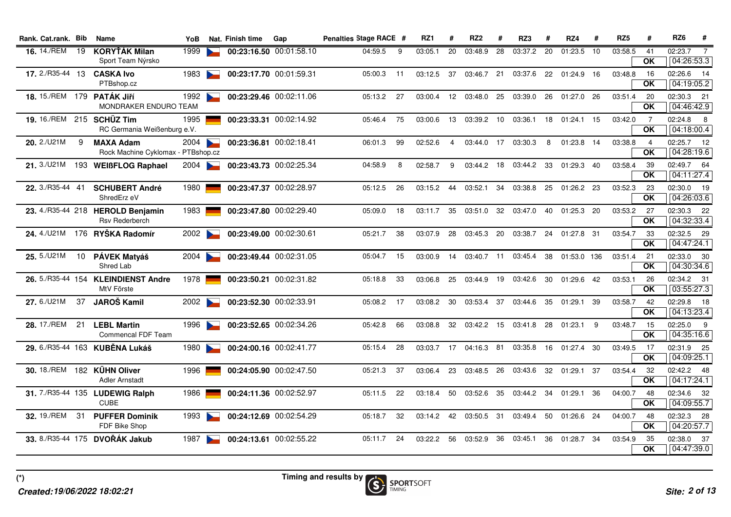| Rank. Cat.rank. Bib        |     | Name                                                       | YoB  | Nat. Finish time | Gap                     | Penalties Stage RACE # |    | RZ1     | #               | RZ <sub>2</sub> | #  | RZ3        | #   | RZ4         | #   | RZ <sub>5</sub> | #                                          | RZ <sub>6</sub><br>#                    |
|----------------------------|-----|------------------------------------------------------------|------|------------------|-------------------------|------------------------|----|---------|-----------------|-----------------|----|------------|-----|-------------|-----|-----------------|--------------------------------------------|-----------------------------------------|
| <b>16.</b> 14./REM 19      |     | <b>KORYŤÁK Milan</b><br>Sport Team Nýrsko                  | 1999 |                  | 00:23:16.50 00:01:58.10 | 04:59.5                | 9  | 03:05.1 | 20              | 03:48.9         | 28 | 03:37.2    | 20  | 01:23.5     | 10  | 03:58.5         | 41<br>OK                                   | 02:23.7<br>$\overline{7}$<br>04:26:53.3 |
| <b>17.</b> 2./R35-44 13    |     | <b>CASKA Ivo</b><br>PTBshop.cz                             | 1983 |                  | 00:23:17.70 00:01:59.31 | 05:00.3                | 11 | 03:12.5 | 37              | 03:46.7 21      |    | 03:37.6    | 22  | 01:24.9     | 16  | 03:48.8         | 16<br>OK                                   | 02:26.6 14<br>04:19:05.2                |
| 18. 15./REM 179 PATÁK JIří |     | MONDRAKER ENDURO TEAM                                      | 1992 |                  | 00:23:29.46 00:02:11.06 | 05:13.2                | 27 | 03:00.4 | 12 <sub>1</sub> | 03:48.0 25      |    | 03:39.0    | 26  | 01:27.0     | 26  | 03:51.4         | -20<br>OK                                  | 02:30.3 21<br>04:46:42.9                |
| 19. 16./REM 215 SCHÜZ Tim  |     | RC Germania Weißenburg e.V.                                | 1995 |                  | 00:23:33.31 00:02:14.92 | 05:46.4                | 75 | 03:00.6 | 13              | 03:39.2 10      |    | 03:36.1    | 18  | 01:24.1     | 15  | 03:42.0         | $\overline{7}$<br>$\overline{\mathsf{OK}}$ | 02:24.8 8<br>04:18:00.4                 |
| 20. 2./U21M                | 9   | <b>MAXA Adam</b><br>Rock Machine Cyklomax - PTBshop.cz     | 2004 |                  | 00:23:36.81 00:02:18.41 | 06:01.3                | 99 | 02:52.6 | 4               | 03:44.0 17      |    | 03:30.3    | 8   | 01:23.8 14  |     | 03:38.8         | 4<br><b>OK</b>                             | 02:25.7 12<br>04:28:19.6                |
| 21. 3./U21M                |     | 193 WEIBFLOG Raphael                                       | 2004 |                  | 00:23:43.73 00:02:25.34 | 04:58.9                | 8  | 02:58.7 | 9               | 03:44.2 18      |    | 03:44.2 33 |     | 01:29.3 40  |     | 03:58.4         | -39<br><b>OK</b>                           | 02:49.7 64<br>04:11:27.4                |
| 22. 3./R35-44 41           |     | <b>SCHUBERT André</b><br>ShredErz eV                       | 1980 |                  | 00:23:47.37 00:02:28.97 | 05:12.5                | 26 | 03:15.2 | 44              | 03:52.1         | 34 | 03:38.8    | 25  | 01:26.2 23  |     | 03:52.3         | 23<br>OK                                   | 02:30.0 19<br>04:26:03.6                |
|                            |     | 23. 4./R35-44 218 HEROLD Benjamin<br><b>Rsv Rederberch</b> | 1983 |                  | 00:23:47.80 00:02:29.40 | 05:09.0                | 18 | 03:11.7 | 35              | 03:51.0 32      |    | 03:47.0    | 40  | 01:25.3 20  |     | 03:53.2         | 27<br>OK                                   | 02:30.3 22<br>04:32:33.4                |
|                            |     | 24. 4./U21M 176 RYŠKA Radomír                              | 2002 |                  | 00:23:49.00 00:02:30.61 | 05:21.7                | 38 | 03:07.9 | 28              | 03:45.3 20      |    | 03:38.7    | 24  | 01:27.8 31  |     | 03:54.7         | 33<br>OK                                   | 02:32.5 29<br>04:47:24.1                |
| 25. 5./U21M                |     | 10 PÁVEK Matyáš<br>Shred Lab                               | 2004 |                  | 00:23:49.44 00:02:31.05 | 05:04.7                | 15 | 03:00.9 | 14              | 03:40.7 11      |    | 03:45.4    | 38  | 01:53.0 136 |     | 03:51.4         | 21<br><b>OK</b>                            | 02:33.0 30<br>04:30:34.6                |
|                            |     | 26. 5./R35-44 154 KLEINDIENST Andre<br>MtV Förste          | 1978 |                  | 00:23:50.21 00:02:31.82 | 05:18.8                | 33 | 03:06.8 | 25              | 03:44.9 19      |    | 03:42.6    | 30  | 01:29.6 42  |     | 03:53.1         | -26<br>OK                                  | 02:34.2 31<br>03:55:27.3                |
| 27.6./U21M                 | 37  | JAROŠ Kamil                                                | 2002 |                  | 00:23:52.30 00:02:33.91 | 05:08.2                | 17 | 03:08.2 | 30              | 03:53.4 37      |    | 03:44.6    | 35  | 01:29.1     | -39 | 03:58.7         | 42<br><b>OK</b>                            | 02:29.8 18<br>04:13:23.4                |
| 28. 17./REM                | 21  | <b>LEBL Martin</b><br>Commencal FDF Team                   | 1996 |                  | 00:23:52.65 00:02:34.26 | 05:42.8                | 66 | 03:08.8 | 32              | 03:42.2 15      |    | 03:41.8    | 28  | 01:23.1     | 9   | 03:48.7         | 15<br>OK                                   | 02:25.0 9<br>04:35:16.6                 |
|                            |     | 29. 6./R35-44 163 KUBĚNA Lukáš                             | 1980 |                  | 00:24:00.16 00:02:41.77 | 05:15.4                | 28 | 03:03.7 | 17              | 04:16.3 81      |    | 03:35.8    | 16  | 01:27.4 30  |     | 03:49.5         | 17<br>OK                                   | 02:31.9 25<br>04:09:25.1                |
|                            |     | 30. 18./REM 182 KÜHN Oliver<br><b>Adler Arnstadt</b>       | 1996 |                  | 00:24:05.90 00:02:47.50 | 05:21.3                | 37 | 03:06.4 | 23              | 03:48.5 26      |    | 03:43.6    | 32  | 01:29.1     | 37  | 03:54.4         | -32<br>$\overline{OK}$                     | 02:42.2 48<br>04:17:24.1                |
|                            |     | 31. 7./R35-44 135 LUDEWIG Ralph<br><b>CUBE</b>             | 1986 |                  | 00:24:11.36 00:02:52.97 | 05:11.5                | 22 | 03:18.4 | 50              | 03:52.6 35      |    | 03:44.2    | -34 | 01:29.1     | -36 | 04:00.7         | 48<br>OK                                   | 02:34.6 32<br>04:09:55.7                |
| <b>32.</b> 19./REM         | -31 | <b>PUFFER Dominik</b><br>FDF Bike Shop                     | 1993 |                  | 00:24:12.69 00:02:54.29 | 05:18.7                | 32 | 03:14.2 | 42              | 03:50.5 31      |    | 03:49.4    | 50  | 01:26.6 24  |     | 04:00.7         | 48<br>OK                                   | 02:32.3 28<br>04:20:57.7                |
|                            |     | 33. 8./R35-44 175 DVOŘÁK Jakub                             | 1987 |                  | 00:24:13.61 00:02:55.22 | 05:11.7                | 24 | 03:22.2 | 56              | 03:52.9         | 36 | 03:45.1    | 36  | 01:28.7 34  |     | 03:54.9         | -35<br><b>OK</b>                           | 02:38.0 37<br>04:47:39.0                |
|                            |     |                                                            |      |                  |                         |                        |    |         |                 |                 |    |            |     |             |     |                 |                                            |                                         |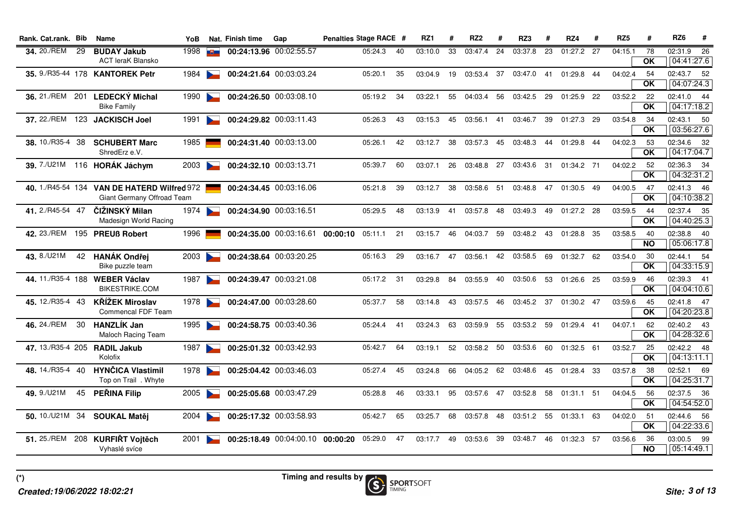| 34, 20./REM<br>1998<br>00:24:13.96 00:02:55.57<br>29<br><b>BUDAY Jakub</b><br>33<br>24<br>23<br>01:27.2 27<br>04:15.1<br>78<br>05:24.3<br>40<br>03:10.0<br>03:47.4<br>03:37.8<br>曳二<br><b>ACT leraK Blansko</b><br><b>OK</b><br>35. 9./R35-44 178 KANTOREK Petr<br>37<br>04:02.4<br>1984<br>00:24:21.64 00:03:03.24<br>35<br>03:04.9<br>19<br>03:53.4<br>03:47.0<br>01:29.8<br>44<br>54<br><b>September 200</b><br>05:20.1<br>41<br><b>OK</b><br><b>LEDECKÝ Michal</b><br>00:24:26.50 00:03:08.10<br>36. 21./REM<br>201<br>1990<br>56<br>03:52.2<br>05:19.2<br>34<br>03:22.1<br>55<br>04:03.4<br>03:42.5<br>29<br>01:25.9<br>22<br>22<br><b>Bike Family</b><br><b>OK</b><br>37. 22./REM<br>00:24:29.82 00:03:11.43<br>123<br>1991<br><b>JACKISCH Joel</b><br>05:26.3<br>43<br>03:15.3<br>45<br>03:56.1 41<br>03:46.7<br>39<br>01:27.3<br>29<br>03:54.8<br>34<br>$\sim$<br><b>OK</b><br><b>SCHUBERT Marc</b><br>38. 10./R35-4<br>00:24:31.40 00:03:13.00<br>04:02.3<br>38<br>1985<br>05:26.1<br>42<br>03:12.7<br>38<br>03:57.3 45<br>03:48.3<br>44<br>01:29.8<br>44<br>53<br>ShredErz e.V.<br><b>OK</b><br>39. 7./U21M 116 HORÁK Jáchym<br>00:24:32.10 00:03:13.71<br>26<br>03:48.8 27<br>04:02.2<br>2003<br>60<br>03:07.1<br>03:43.6<br>- 31<br>01:34.2 71<br>52<br>$\overline{\phantom{0}}$<br>05:39.7<br><b>OK</b><br>40. 1./R45-54 134 VAN DE HATERD Wilfred 972<br>00:24:34.45 00:03:16.06<br>38<br>04:00.5<br>05:21.8<br>39<br>03:12.7<br>03:58.6<br>- 51<br>03:48.8<br>47<br>01:30.5<br>49<br>47<br><b>OK</b><br>Giant Germany Offroad Team<br>41.2./R45-54 47<br>ČIŽINSKÝ Milan<br>00:24:34.90 00:03:16.51<br>1974<br>48<br>05:29.5<br>48<br>03:13.9<br>41<br>03:57.8<br>03:49.3<br>49<br>01:27.2 28<br>03:59.5<br>44<br>$\sim$<br>Madesign World Racing<br><b>OK</b><br>42. 23./REM<br>00:24:35.00 00:03:16.61 00:00:10<br>59<br>03:58.5<br>195 PREUß Robert<br>1996<br>05:11.1<br>21<br>03:15.7<br>46<br>03:48.2<br>43<br>01:28.8<br>35<br>40<br>04:03.7<br><b>NO</b><br>43. 8./U21M<br>42 HANÁK Ondřej<br>00:24:38.64 00:03:20.25<br>47<br>42<br>62<br>03:54.0<br>2003<br>05:16.3<br>29<br>03:16.7<br>03:56.1<br>03:58.5<br>69<br>01:32.7<br>30<br><b>OK</b><br>Bike puzzle team<br>44.11./R35-4 188<br>00:24:39.47 00:03:21.08<br><b>WEBER Václav</b><br>1987<br>84<br>40<br>-25<br>03:59.9<br>05:17.2<br>31<br>03:29.8<br>03:55.9<br>03:50.6<br>53<br>01:26.6<br>46<br><b>Designation</b><br><b>BIKESTRIKE.COM</b><br><b>OK</b><br>45. 12./R35-4 43<br><b>KŘÍŽEK Miroslav</b><br>1978<br>00:24:47.00 00:03:28.60<br>58<br>03:14.8<br>43<br>46<br>03:45.2<br>- 37<br>01:30.2 47<br>03:59.6<br>45<br>$\overline{\phantom{0}}$<br>05:37.7<br>03:57.5<br>Commencal FDF Team<br><b>OK</b><br>46. 24./REM<br><b>HANZLÍK Jan</b><br>30<br>00:24:58.75 00:03:40.36<br>04:07.1<br>1995<br>41<br>03:24.3<br>63<br>03:59.9<br>55<br>03:53.2<br>- 59<br>01:29.4<br>41<br>62<br>05:24.4<br>$\sim$<br><b>OK</b><br><b>Maloch Racing Team</b><br>47. 13./R35-4 205 RADIL Jakub<br>00:25:01.32 00:03:42.93<br>03:58.2 50<br>03:52.7<br>1987<br>05:42.7<br>64<br>03:19.1<br>52<br>03:53.6<br>60<br>01:32.5 61<br>25<br>$\overline{\text{OK}}$<br>Kolofix<br><b>HYNČICA Vlastimil</b><br>48. 14./R35-4 40<br>00:25:04.42 00:03:46.03<br>04:05.2 62<br>1978<br>05:27.4<br>45<br>03:48.6<br>03:57.8<br>-38<br>03:24.8<br>66<br>45<br>01:28.4<br>-33<br>Top on Trail . Whyte<br>OK<br>49.9./U21M<br><b>PEŘINA Filip</b><br>45<br>2005<br>00:25:05.68 00:03:47.29<br>03:57.6 47<br>04:04.5<br>05:28.8<br>46<br>03:33.1<br>95<br>03:52.8<br>58<br>01:31.1 51<br>56<br>OK<br>50.10./U21M 34<br>00:25:17.32 00:03:58.93<br>04:02.0<br><b>SOUKAL Matěj</b><br>2004<br>05:42.7<br>65<br>68<br>48<br>03:51.2 55<br>01:33.1<br>63<br>-51<br>03:25.7<br>03:57.8<br>$\overline{OK}$ | Rank. Cat.rank. Bib | <b>Name</b> | YoB | Nat. Finish time | Gap | Penalties Stage RACE # |  | RZ1 | # | RZ <sub>2</sub> | # | RZ3 | # | RZ4 | # | RZ <sub>5</sub> | # | RZ <sub>6</sub>          | #               |
|------------------------------------------------------------------------------------------------------------------------------------------------------------------------------------------------------------------------------------------------------------------------------------------------------------------------------------------------------------------------------------------------------------------------------------------------------------------------------------------------------------------------------------------------------------------------------------------------------------------------------------------------------------------------------------------------------------------------------------------------------------------------------------------------------------------------------------------------------------------------------------------------------------------------------------------------------------------------------------------------------------------------------------------------------------------------------------------------------------------------------------------------------------------------------------------------------------------------------------------------------------------------------------------------------------------------------------------------------------------------------------------------------------------------------------------------------------------------------------------------------------------------------------------------------------------------------------------------------------------------------------------------------------------------------------------------------------------------------------------------------------------------------------------------------------------------------------------------------------------------------------------------------------------------------------------------------------------------------------------------------------------------------------------------------------------------------------------------------------------------------------------------------------------------------------------------------------------------------------------------------------------------------------------------------------------------------------------------------------------------------------------------------------------------------------------------------------------------------------------------------------------------------------------------------------------------------------------------------------------------------------------------------------------------------------------------------------------------------------------------------------------------------------------------------------------------------------------------------------------------------------------------------------------------------------------------------------------------------------------------------------------------------------------------------------------------------------------------------------------------------------------------------------------------------------------------------------------------------------------------------------------------------------------------------------------------------------------------------------------------------------------------------------------------------------------------------------------------------------------------------------------------------------------------------------------------------------------------------------------------------------------------------------------------------------------------------------------------------------------------------------------|---------------------|-------------|-----|------------------|-----|------------------------|--|-----|---|-----------------|---|-----|---|-----|---|-----------------|---|--------------------------|-----------------|
|                                                                                                                                                                                                                                                                                                                                                                                                                                                                                                                                                                                                                                                                                                                                                                                                                                                                                                                                                                                                                                                                                                                                                                                                                                                                                                                                                                                                                                                                                                                                                                                                                                                                                                                                                                                                                                                                                                                                                                                                                                                                                                                                                                                                                                                                                                                                                                                                                                                                                                                                                                                                                                                                                                                                                                                                                                                                                                                                                                                                                                                                                                                                                                                                                                                                                                                                                                                                                                                                                                                                                                                                                                                                                                                                                                  |                     |             |     |                  |     |                        |  |     |   |                 |   |     |   |     |   |                 |   | 02:31.9<br>04:41:27.6    | $\overline{26}$ |
|                                                                                                                                                                                                                                                                                                                                                                                                                                                                                                                                                                                                                                                                                                                                                                                                                                                                                                                                                                                                                                                                                                                                                                                                                                                                                                                                                                                                                                                                                                                                                                                                                                                                                                                                                                                                                                                                                                                                                                                                                                                                                                                                                                                                                                                                                                                                                                                                                                                                                                                                                                                                                                                                                                                                                                                                                                                                                                                                                                                                                                                                                                                                                                                                                                                                                                                                                                                                                                                                                                                                                                                                                                                                                                                                                                  |                     |             |     |                  |     |                        |  |     |   |                 |   |     |   |     |   |                 |   | 02:43.7 52<br>04:07:24.3 |                 |
|                                                                                                                                                                                                                                                                                                                                                                                                                                                                                                                                                                                                                                                                                                                                                                                                                                                                                                                                                                                                                                                                                                                                                                                                                                                                                                                                                                                                                                                                                                                                                                                                                                                                                                                                                                                                                                                                                                                                                                                                                                                                                                                                                                                                                                                                                                                                                                                                                                                                                                                                                                                                                                                                                                                                                                                                                                                                                                                                                                                                                                                                                                                                                                                                                                                                                                                                                                                                                                                                                                                                                                                                                                                                                                                                                                  |                     |             |     |                  |     |                        |  |     |   |                 |   |     |   |     |   |                 |   | 02:41.0 44<br>04:17:18.2 |                 |
|                                                                                                                                                                                                                                                                                                                                                                                                                                                                                                                                                                                                                                                                                                                                                                                                                                                                                                                                                                                                                                                                                                                                                                                                                                                                                                                                                                                                                                                                                                                                                                                                                                                                                                                                                                                                                                                                                                                                                                                                                                                                                                                                                                                                                                                                                                                                                                                                                                                                                                                                                                                                                                                                                                                                                                                                                                                                                                                                                                                                                                                                                                                                                                                                                                                                                                                                                                                                                                                                                                                                                                                                                                                                                                                                                                  |                     |             |     |                  |     |                        |  |     |   |                 |   |     |   |     |   |                 |   | 02:43.1 50<br>03:56:27.6 |                 |
|                                                                                                                                                                                                                                                                                                                                                                                                                                                                                                                                                                                                                                                                                                                                                                                                                                                                                                                                                                                                                                                                                                                                                                                                                                                                                                                                                                                                                                                                                                                                                                                                                                                                                                                                                                                                                                                                                                                                                                                                                                                                                                                                                                                                                                                                                                                                                                                                                                                                                                                                                                                                                                                                                                                                                                                                                                                                                                                                                                                                                                                                                                                                                                                                                                                                                                                                                                                                                                                                                                                                                                                                                                                                                                                                                                  |                     |             |     |                  |     |                        |  |     |   |                 |   |     |   |     |   |                 |   | 02:34.6 32<br>04:17:04.7 |                 |
|                                                                                                                                                                                                                                                                                                                                                                                                                                                                                                                                                                                                                                                                                                                                                                                                                                                                                                                                                                                                                                                                                                                                                                                                                                                                                                                                                                                                                                                                                                                                                                                                                                                                                                                                                                                                                                                                                                                                                                                                                                                                                                                                                                                                                                                                                                                                                                                                                                                                                                                                                                                                                                                                                                                                                                                                                                                                                                                                                                                                                                                                                                                                                                                                                                                                                                                                                                                                                                                                                                                                                                                                                                                                                                                                                                  |                     |             |     |                  |     |                        |  |     |   |                 |   |     |   |     |   |                 |   | 02:36.3 34<br>04:32:31.2 |                 |
|                                                                                                                                                                                                                                                                                                                                                                                                                                                                                                                                                                                                                                                                                                                                                                                                                                                                                                                                                                                                                                                                                                                                                                                                                                                                                                                                                                                                                                                                                                                                                                                                                                                                                                                                                                                                                                                                                                                                                                                                                                                                                                                                                                                                                                                                                                                                                                                                                                                                                                                                                                                                                                                                                                                                                                                                                                                                                                                                                                                                                                                                                                                                                                                                                                                                                                                                                                                                                                                                                                                                                                                                                                                                                                                                                                  |                     |             |     |                  |     |                        |  |     |   |                 |   |     |   |     |   |                 |   | 02:41.3 46<br>04:10:38.2 |                 |
|                                                                                                                                                                                                                                                                                                                                                                                                                                                                                                                                                                                                                                                                                                                                                                                                                                                                                                                                                                                                                                                                                                                                                                                                                                                                                                                                                                                                                                                                                                                                                                                                                                                                                                                                                                                                                                                                                                                                                                                                                                                                                                                                                                                                                                                                                                                                                                                                                                                                                                                                                                                                                                                                                                                                                                                                                                                                                                                                                                                                                                                                                                                                                                                                                                                                                                                                                                                                                                                                                                                                                                                                                                                                                                                                                                  |                     |             |     |                  |     |                        |  |     |   |                 |   |     |   |     |   |                 |   | 02:37.4 35<br>04:40:25.3 |                 |
|                                                                                                                                                                                                                                                                                                                                                                                                                                                                                                                                                                                                                                                                                                                                                                                                                                                                                                                                                                                                                                                                                                                                                                                                                                                                                                                                                                                                                                                                                                                                                                                                                                                                                                                                                                                                                                                                                                                                                                                                                                                                                                                                                                                                                                                                                                                                                                                                                                                                                                                                                                                                                                                                                                                                                                                                                                                                                                                                                                                                                                                                                                                                                                                                                                                                                                                                                                                                                                                                                                                                                                                                                                                                                                                                                                  |                     |             |     |                  |     |                        |  |     |   |                 |   |     |   |     |   |                 |   | 02:38.8 40<br>05:06:17.8 |                 |
|                                                                                                                                                                                                                                                                                                                                                                                                                                                                                                                                                                                                                                                                                                                                                                                                                                                                                                                                                                                                                                                                                                                                                                                                                                                                                                                                                                                                                                                                                                                                                                                                                                                                                                                                                                                                                                                                                                                                                                                                                                                                                                                                                                                                                                                                                                                                                                                                                                                                                                                                                                                                                                                                                                                                                                                                                                                                                                                                                                                                                                                                                                                                                                                                                                                                                                                                                                                                                                                                                                                                                                                                                                                                                                                                                                  |                     |             |     |                  |     |                        |  |     |   |                 |   |     |   |     |   |                 |   | 02:44.1 54<br>04:33:15.9 |                 |
|                                                                                                                                                                                                                                                                                                                                                                                                                                                                                                                                                                                                                                                                                                                                                                                                                                                                                                                                                                                                                                                                                                                                                                                                                                                                                                                                                                                                                                                                                                                                                                                                                                                                                                                                                                                                                                                                                                                                                                                                                                                                                                                                                                                                                                                                                                                                                                                                                                                                                                                                                                                                                                                                                                                                                                                                                                                                                                                                                                                                                                                                                                                                                                                                                                                                                                                                                                                                                                                                                                                                                                                                                                                                                                                                                                  |                     |             |     |                  |     |                        |  |     |   |                 |   |     |   |     |   |                 |   | 02:39.3 41<br>04:04:10.6 |                 |
|                                                                                                                                                                                                                                                                                                                                                                                                                                                                                                                                                                                                                                                                                                                                                                                                                                                                                                                                                                                                                                                                                                                                                                                                                                                                                                                                                                                                                                                                                                                                                                                                                                                                                                                                                                                                                                                                                                                                                                                                                                                                                                                                                                                                                                                                                                                                                                                                                                                                                                                                                                                                                                                                                                                                                                                                                                                                                                                                                                                                                                                                                                                                                                                                                                                                                                                                                                                                                                                                                                                                                                                                                                                                                                                                                                  |                     |             |     |                  |     |                        |  |     |   |                 |   |     |   |     |   |                 |   | 02:41.8 47<br>04:20:23.8 |                 |
|                                                                                                                                                                                                                                                                                                                                                                                                                                                                                                                                                                                                                                                                                                                                                                                                                                                                                                                                                                                                                                                                                                                                                                                                                                                                                                                                                                                                                                                                                                                                                                                                                                                                                                                                                                                                                                                                                                                                                                                                                                                                                                                                                                                                                                                                                                                                                                                                                                                                                                                                                                                                                                                                                                                                                                                                                                                                                                                                                                                                                                                                                                                                                                                                                                                                                                                                                                                                                                                                                                                                                                                                                                                                                                                                                                  |                     |             |     |                  |     |                        |  |     |   |                 |   |     |   |     |   |                 |   | 02:40.2 43<br>04:28:32.6 |                 |
|                                                                                                                                                                                                                                                                                                                                                                                                                                                                                                                                                                                                                                                                                                                                                                                                                                                                                                                                                                                                                                                                                                                                                                                                                                                                                                                                                                                                                                                                                                                                                                                                                                                                                                                                                                                                                                                                                                                                                                                                                                                                                                                                                                                                                                                                                                                                                                                                                                                                                                                                                                                                                                                                                                                                                                                                                                                                                                                                                                                                                                                                                                                                                                                                                                                                                                                                                                                                                                                                                                                                                                                                                                                                                                                                                                  |                     |             |     |                  |     |                        |  |     |   |                 |   |     |   |     |   |                 |   | 02:42.2 48<br>04:13:11.1 |                 |
|                                                                                                                                                                                                                                                                                                                                                                                                                                                                                                                                                                                                                                                                                                                                                                                                                                                                                                                                                                                                                                                                                                                                                                                                                                                                                                                                                                                                                                                                                                                                                                                                                                                                                                                                                                                                                                                                                                                                                                                                                                                                                                                                                                                                                                                                                                                                                                                                                                                                                                                                                                                                                                                                                                                                                                                                                                                                                                                                                                                                                                                                                                                                                                                                                                                                                                                                                                                                                                                                                                                                                                                                                                                                                                                                                                  |                     |             |     |                  |     |                        |  |     |   |                 |   |     |   |     |   |                 |   | 02:52.1 69<br>04:25:31.7 |                 |
|                                                                                                                                                                                                                                                                                                                                                                                                                                                                                                                                                                                                                                                                                                                                                                                                                                                                                                                                                                                                                                                                                                                                                                                                                                                                                                                                                                                                                                                                                                                                                                                                                                                                                                                                                                                                                                                                                                                                                                                                                                                                                                                                                                                                                                                                                                                                                                                                                                                                                                                                                                                                                                                                                                                                                                                                                                                                                                                                                                                                                                                                                                                                                                                                                                                                                                                                                                                                                                                                                                                                                                                                                                                                                                                                                                  |                     |             |     |                  |     |                        |  |     |   |                 |   |     |   |     |   |                 |   | 02:37.5 36<br>04:54:52.0 |                 |
|                                                                                                                                                                                                                                                                                                                                                                                                                                                                                                                                                                                                                                                                                                                                                                                                                                                                                                                                                                                                                                                                                                                                                                                                                                                                                                                                                                                                                                                                                                                                                                                                                                                                                                                                                                                                                                                                                                                                                                                                                                                                                                                                                                                                                                                                                                                                                                                                                                                                                                                                                                                                                                                                                                                                                                                                                                                                                                                                                                                                                                                                                                                                                                                                                                                                                                                                                                                                                                                                                                                                                                                                                                                                                                                                                                  |                     |             |     |                  |     |                        |  |     |   |                 |   |     |   |     |   |                 |   | 02:44.6 56<br>04:22:33.6 |                 |
| 208 KURFIŘT Vojtěch<br>03:53.6 39<br>03:56.6<br>2001<br>00:25:18.49 00:04:00.10 00:00:20<br>05:29.0<br>47<br>03:17.7<br>49<br>03:48.7<br>46<br>01:32.3<br>57<br>36<br><b>NO</b><br>Vyhaslé svíce                                                                                                                                                                                                                                                                                                                                                                                                                                                                                                                                                                                                                                                                                                                                                                                                                                                                                                                                                                                                                                                                                                                                                                                                                                                                                                                                                                                                                                                                                                                                                                                                                                                                                                                                                                                                                                                                                                                                                                                                                                                                                                                                                                                                                                                                                                                                                                                                                                                                                                                                                                                                                                                                                                                                                                                                                                                                                                                                                                                                                                                                                                                                                                                                                                                                                                                                                                                                                                                                                                                                                                 | 51. 25./REM         |             |     |                  |     |                        |  |     |   |                 |   |     |   |     |   |                 |   | 03:00.5 99<br>05:14:49.1 |                 |

**(\*)**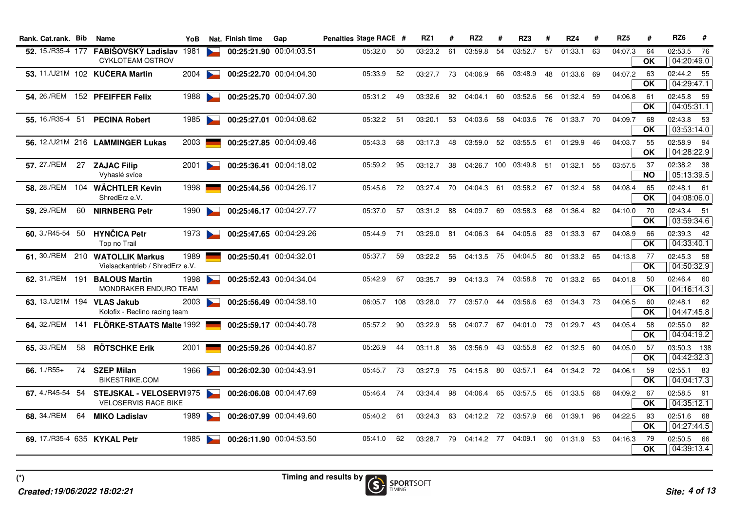| Rank. Cat.rank. Bib      |    | Name                                                                    | YoB  |                       | Nat. Finish time        | Gap                     | Penalties Stage RACE # |     | RZ1     | #  | RZ <sub>2</sub> | #  | RZ3        | #    | RZ4                   | #   | RZ <sub>5</sub> | #                 | RZ6<br>#                  |
|--------------------------|----|-------------------------------------------------------------------------|------|-----------------------|-------------------------|-------------------------|------------------------|-----|---------|----|-----------------|----|------------|------|-----------------------|-----|-----------------|-------------------|---------------------------|
| <b>52.</b> 15./R35-4 177 |    | FABIŠOVSKÝ Ladislav 1981<br><b>CYKLOTEAM OSTROV</b>                     |      |                       | 00:25:21.90 00:04:03.51 |                         | 05:32.0                | 50  | 03:23.2 | 61 | 03:59.8         | 54 | 03:52.7    | 57   | 01:33.1               | 63  | 04:07.3         | 64<br><b>OK</b>   | 02:53.5 76<br>04:20:49.0  |
|                          |    | 53. 11./U21M 102 KUČERA Martin                                          | 2004 | $\sim$                |                         | 00:25:22.70 00:04:04.30 | 05:33.9                | 52  | 03:27.7 | 73 | 04:06.9         | 66 | 03:48.9    | 48   | 01:33.6               | 69  | 04:07.2         | 63<br>OK          | 02:44.2 55<br>04:29:47.1  |
|                          |    | 54. 26./REM 152 PFEIFFER Felix                                          | 1988 | $\sim$                |                         | 00:25:25.70 00:04:07.30 | 05:31.2                | 49  | 03:32.6 | 92 | 04:04.1         | 60 | 03:52.6    | 56   | 01:32.4               | 59  | 04:06.8         | 61<br>OK          | 02:45.8 59<br>04:05:31.1  |
|                          |    | 55. 16./R35-4 51 PECINA Robert                                          | 1985 | $\sum$                |                         | 00:25:27.01 00:04:08.62 | 05:32.2                | 51  | 03:20.1 | 53 | 04:03.6 58      |    | 04:03.6    | - 76 | 01:33.7 70            |     | 04:09.7         | 68<br><b>OK</b>   | 02:43.8 53<br>03:53:14.0  |
|                          |    | 56. 12./U21M 216 LAMMINGER Lukas                                        | 2003 |                       |                         | 00:25:27.85 00:04:09.46 | 05:43.3                | 68  | 03:17.3 | 48 | 03:59.0 52      |    | 03:55.5    | 61   | 01:29.9               | 46  | 04:03.7         | 55<br><b>OK</b>   | 02:58.9 94<br>04:28:22.9  |
| <b>57.</b> 27./REM       |    | 27 ZAJAC Filip<br>Vyhaslé svíce                                         | 2001 | $\sim$                |                         | 00:25:36.41 00:04:18.02 | 05:59.2                | 95  | 03:12.7 | 38 | 04:26.7 100     |    | 03:49.8    | 51   | 01:32.1               | 55  | 03:57.5         | -37<br><b>NO</b>  | 02:38.2 38<br>05:13:39.5  |
| 58. 28./REM              |    | 104 WÄCHTLER Kevin<br>ShredErz e.V.                                     | 1998 |                       |                         | 00:25:44.56 00:04:26.17 | 05:45.6                | 72  | 03:27.4 | 70 | 04:04.3 61      |    | 03:58.2 67 |      | 01:32.4               | -58 | 04:08.4         | 65<br><b>OK</b>   | 02:48.1 61<br>04:08:06.0  |
| 59. 29./REM              |    | 60 NIRNBERG Petr                                                        | 1990 | $\blacktriangleright$ |                         | 00:25:46.17 00:04:27.77 | 05:37.0                | 57  | 03:31.2 | 88 | 04:09.7 69      |    | 03:58.3    | 68   | 01:36.4               | 82  | 04:10.0         | -70<br><b>OK</b>  | 02:43.4 51<br>03:59:34.6  |
| 60. 3./R45-54 50         |    | <b>HYNČICA Petr</b><br>Top no Trail                                     | 1973 | $\sim$                |                         | 00:25:47.65 00:04:29.26 | 05:44.9                | 71  | 03:29.0 | 81 | 04:06.3 64      |    | 04:05.6    | 83   | 01:33.3 67            |     | 04:08.9         | 66<br><b>OK</b>   | 02:39.3 42<br>04:33:40.1  |
|                          |    | 61. 30./REM 210 WATOLLIK Markus<br>Vielsackantrieb / ShredErz e.V.      | 1989 |                       | 00:25:50.41 00:04:32.01 |                         | 05:37.7                | 59  | 03:22.2 | 56 | 04:13.5 75      |    | 04:04.5    | 80   | 01:33.2 65            |     | 04:13.8         | -77<br><b>OK</b>  | 02:45.3 58<br>04:50:32.9  |
|                          |    | 62. 31./REM 191 BALOUS Martin<br>MONDRAKER ENDURO TEAM                  | 1998 |                       |                         | 00:25:52.43 00:04:34.04 | 05:42.9                | 67  | 03:35.7 | 99 | 04:13.3 74      |    |            |      | 03:58.8 70 01:33.2 65 |     | 04:01.8         | 50<br><b>OK</b>   | 02:46.4 60<br>04:16:14.3  |
|                          |    | 63. 13./U21M 194 VLAS Jakub<br>Kolofix - Reclino racing team            | 2003 | $\sim$                |                         | 00:25:56.49 00:04:38.10 | 06:05.7                | 108 | 03:28.0 | 77 | 03:57.0 44      |    | 03:56.6    | 63   | 01:34.3 73            |     | 04:06.5         | 60<br><b>OK</b>   | 02:48.1 62<br>04:47:45.8  |
| 64, 32./REM              |    | 141 FLÖRKE-STAATS Malte 1992                                            |      |                       |                         | 00:25:59.17 00:04:40.78 | 05:57.2                | 90  | 03:22.9 | 58 | 04:07.7 67      |    | 04:01.0 73 |      | 01:29.7               | -43 | 04:05.4         | 58<br><b>OK</b>   | 02:55.0 82<br>04:04:19.2  |
| 65, 33./REM              | 58 | <b>RÖTSCHKE Erik</b>                                                    | 2001 |                       |                         | 00:25:59.26 00:04:40.87 | 05:26.9                | 44  | 03:11.8 | 36 | 03:56.9         | 43 | 03:55.8    | 62   | 01:32.5               | 60  | 04:05.0         | -57<br><b>OK</b>  | 03:50.3 138<br>04:42:32.3 |
| 66. $1./R55+$            |    | 74 SZEP Milan<br><b>BIKESTRIKE.COM</b>                                  | 1966 |                       | 00:26:02.30 00:04:43.91 |                         | 05:45.7                | -73 | 03:27.9 | 75 | 04:15.8 80      |    | 03:57.1    | 64   | 01:34.2 72            |     | 04:06.1         | 59<br><b>OK</b>   | 02:55.1 83<br>04:04:17.3  |
|                          |    | 67. 4./R45-54 54 STEJSKAL - VELOSERV1975<br><b>VELOSERVIS RACE BIKE</b> |      |                       |                         | 00:26:06.08 00:04:47.69 | 05:46.4                | 74  | 03:34.4 | 98 | 04:06.4 65      |    | 03:57.5    | 65   | 01:33.5               | 68  | 04:09.2         | 67<br><b>OK</b>   | 02:58.5 91<br>04:35:12.1  |
| 68, 34./REM              | 64 | <b>MIKO Ladislav</b>                                                    | 1989 |                       |                         | 00:26:07.99 00:04:49.60 | 05:40.2                | 61  | 03:24.3 | 63 | 04:12.2 72      |    | 03:57.9    | 66   | 01:39.1               | 96  | 04:22.5         | 93<br><b>OK</b>   | 02:51.6 68<br>04:27:44.5  |
|                          |    | 69. 17./R35-4 635 KYKAL Petr                                            | 1985 |                       |                         | 00:26:11.90 00:04:53.50 | 05:41.0                | 62  | 03:28.7 | 79 | 04:14.2 77      |    | 04:09.1    | 90   | 01:31.9 53            |     | 04:16.3         | - 79<br><b>OK</b> | 02:50.5 66<br>04:39:13.4  |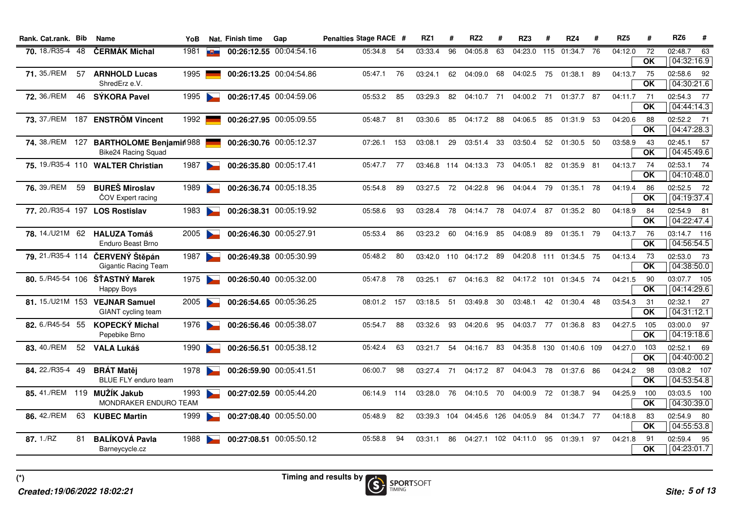| Rank. Cat.rank. Bib     |     | <b>Name</b>                                                    | YoB  |                       | Nat. Finish time        | Gap                     | Penalties Stage RACE # |     | RZ1     | #   | RZ <sub>2</sub> | #  | RZ3                 | #  | RZ4                     | #  | RZ <sub>5</sub> | #                               | RZ <sub>6</sub>           | #  |
|-------------------------|-----|----------------------------------------------------------------|------|-----------------------|-------------------------|-------------------------|------------------------|-----|---------|-----|-----------------|----|---------------------|----|-------------------------|----|-----------------|---------------------------------|---------------------------|----|
| <b>70.</b> 18./R35-4 48 |     | <b>ČERMÁK Michal</b>                                           | 1981 | $\blacksquare$        |                         | 00:26:12.55 00:04:54.16 | 05:34.8                | 54  | 03:33.4 | 96  | 04:05.8         | 63 | 04:23.0 115         |    | 01:34.7                 | 76 | 04:12.0         | 72<br>OK                        | 02:48.7<br>04:32:16.9     | 63 |
| 71, 35./REM             | 57  | <b>ARNHOLD Lucas</b><br>ShredErz e.V.                          | 1995 |                       |                         | 00:26:13.25 00:04:54.86 | 05:47.1                | 76  | 03:24.1 | 62  | 04:09.0         | 68 | 04:02.5             | 75 | 01:38.1                 | 89 | 04:13.7         | 75<br>$\overline{\mathsf{OK}}$  | 02:58.6 92<br>04:30:21.6  |    |
| 72. 36./REM             | 46  | SÝKORA Pavel                                                   | 1995 | $\sim$                |                         | 00:26:17.45 00:04:59.06 | 05:53.2                | 85  | 03:29.3 | 82  | 04:10.7 71      |    | 04:00.2 71          |    | 01:37.7 87              |    | 04:11.7         | 71<br>$\overline{OK}$           | 02:54.3 77<br>04:44:14.3  |    |
|                         |     | 73. 37./REM 187 ENSTRÖM Vincent                                | 1992 |                       |                         | 00:26:27.95 00:05:09.55 | 05:48.7                | 81  | 03:30.6 | 85  | 04:17.2 88      |    | 04:06.5             | 85 | 01:31.9                 | 53 | 04:20.6         | 88<br><b>OK</b>                 | 02:52.2 71<br>04:47:28.3  |    |
|                         |     | 74. 38./REM 127 BARTHOLOME Benjamin 988<br>Bike24 Racing Squad |      |                       |                         | 00:26:30.76 00:05:12.37 | 07:26.1                | 153 | 03:08.1 | 29  | 03:51.4         | 33 | 03:50.4             | 52 | 01:30.5                 | 50 | 03:58.9         | -43<br>OK                       | 02:45.1 57<br>04:45:49.6  |    |
|                         |     | 75. 19./R35-4 110 WALTER Christian                             | 1987 | $\sim$                | 00:26:35.80 00:05:17.41 |                         | 05:47.7                | 77  | 03:46.8 |     | 114 04:13.3 73  |    | 04:05.1             | 82 | 01:35.9 81              |    | 04:13.7         | 74<br>OK                        | 02:53.1 74<br>04:10:48.0  |    |
| <b>76.</b> 39./REM      | 59  | <b>BUREŠ Miroslav</b><br>ČOV Expert racing                     | 1989 | $\mathbf{r}$          |                         | 00:26:36.74 00:05:18.35 | 05:54.8                | 89  | 03:27.5 | 72  | 04:22.8         | 96 | 04:04.4             | 79 | 01:35.1                 | 78 | 04:19.4         | 86<br>OK                        | 02:52.5 72<br>04:19:37.4  |    |
|                         |     | 77. 20./R35-4 197 LOS Rostislav                                | 1983 | $\sim$                |                         | 00:26:38.31 00:05:19.92 | 05:58.6                | 93  | 03:28.4 | 78  | 04:14.7 78      |    | 04:07.4             | 87 | 01:35.2 80              |    | 04:18.9         | 84<br>OK                        | 02:54.9 81<br>04:22:47.4  |    |
|                         |     | 78. 14./U21M 62 HALUZA Tomáš<br>Enduro Beast Brno              | 2005 | $\sim$                | 00:26:46.30 00:05:27.91 |                         | 05:53.4                | 86  | 03:23.2 | 60  | 04:16.9         | 85 | 04:08.9             | 89 | 01:35.1                 | 79 | 04:13.7         | 76<br>OK                        | 03:14.7 116<br>04:56:54.5 |    |
|                         |     | 79. 21./R35-4 114 ČERVENÝ Štěpán<br>Gigantic Racing Team       | 1987 | $\sim$                |                         | 00:26:49.38 00:05:30.99 | 05:48.2                | 80  | 03:42.0 | 110 | 04:17.2 89      |    |                     |    | 04:20.8 111 01:34.5 75  |    | 04:13.4         | 73<br>OK                        | 02:53.0 73<br>04:38:50.0  |    |
| 80.5./R45-54 106        |     | ŠŤASTNÝ Marek<br>Happy Boys                                    | 1975 | $\blacktriangleright$ |                         | 00:26:50.40 00:05:32.00 | 05:47.8                | 78  | 03:25.1 | 67  | 04:16.3         | 82 |                     |    | 04:17.2 101 01:34.5 74  |    | 04:21.5         | 90<br>OK                        | 03:07.7 105<br>04:14:29.6 |    |
|                         |     | 81. 15./U21M 153 VEJNAR Samuel<br>GIANT cycling team           | 2005 | $\sim$                |                         | 00:26:54.65 00:05:36.25 | 08:01.2                | 157 | 03:18.5 | 51  | 03:49.8         | 30 | 03:48.1             |    | 42 01:30.4              | 48 | 03:54.3         | 31<br><b>OK</b>                 | 02:32.1 27<br>04:31:12.1  |    |
| 82. 6./R45-54 55        |     | <b>KOPECKÝ Michal</b><br>Pepebike Brno                         | 1976 | $\sim$                |                         | 00:26:56.46 00:05:38.07 | 05:54.7                | 88  | 03:32.6 | 93  | 04:20.6         | 95 | 04:03.7 77          |    | 01:36.8 83              |    | 04:27.5         | 105<br><b>OK</b>                | 03:00.0 97<br>04:19:18.6  |    |
| 83, 40./REM             |     | 52 VALA Lukáš                                                  | 1990 | $\blacktriangleright$ |                         | 00:26:56.51 00:05:38.12 | 05:42.4                | 63  | 03:21.7 | 54  | 04:16.7         | 83 |                     |    | 04:35.8 130 01:40.6 109 |    | 04:27.0         | 103<br><b>OK</b>                | 02:52.1 69<br>04:40:00.2  |    |
| 84. 22./R35-4 49        |     | <b>BRÁT Matěj</b><br><b>BLUE FLY enduro team</b>               | 1978 | $\sum$                | 00:26:59.90 00:05:41.51 |                         | 06:00.7                | 98  | 03:27.4 | 71  | 04:17.2 87      |    | 04:04.3             | 78 | 01:37.6 86              |    | 04:24.2         | 98<br><b>OK</b>                 | 03:08.2 107<br>04:53:54.8 |    |
|                         |     | 85. 41./REM 119 MUŽÍK Jakub<br>MONDRAKER ENDURO TEAM           | 1993 | $\sim$                |                         | 00:27:02.59 00:05:44.20 | 06:14.9                | 114 | 03:28.0 | 76  | 04:10.5 70      |    | 04:00.9             |    | 72 01:38.7 94           |    | 04:25.9         | 100<br>$\overline{\mathsf{OK}}$ | 03:03.5 100<br>04:30:39.0 |    |
| 86, 42./REM             | 63  | <b>KUBEC Martin</b>                                            | 1999 |                       |                         | 00:27:08.40 00:05:50.00 | 05:48.9                | 82  | 03:39.3 |     | 104 04:45.6 126 |    | 04:05.9             | 84 | 01:34.7 77              |    | 04:18.8         | -83<br>$\overline{\mathsf{OK}}$ | 02:54.9 80<br>04:55:53.8  |    |
| 87.1./RZ                | 81. | <b>BALÍKOVÁ Pavla</b><br>Barneycycle.cz                        | 1988 | $\sim$                |                         | 00:27:08.51 00:05:50.12 | 05:58.8                | 94  | 03:31.1 | 86  |                 |    | 04:27.1 102 04:11.0 | 95 | 01:39.1                 | 97 | 04:21.8         | 91<br>OK                        | 02:59.4 95<br>04:23:01.7  |    |
|                         |     |                                                                |      |                       |                         |                         |                        |     |         |     |                 |    |                     |    |                         |    |                 |                                 |                           |    |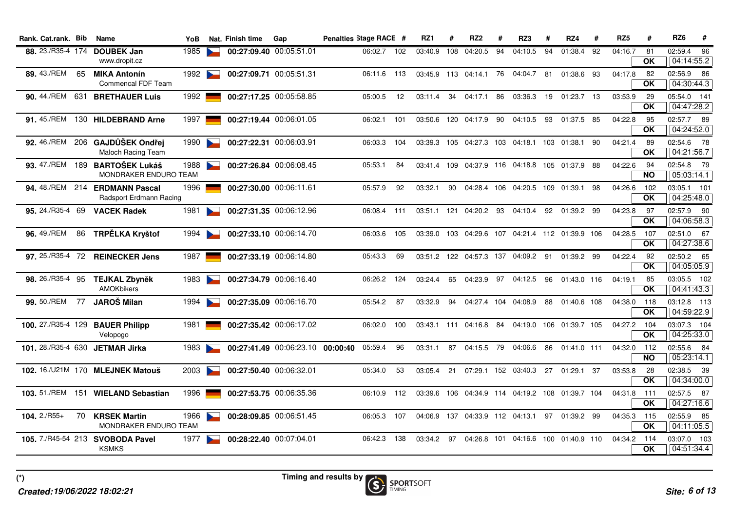| Rank, Cat.rank, Bib |    | Name                                                      | <b>YoB</b> |                          | Nat. Finish time | Gap                     | Penalties Stage RACE #                   |             |     | RZ1         | #   | RZ <sub>2</sub>         | #  | RZ3                                           | #    | RZ4                     | #   | RZ <sub>5</sub> | #                     | RZ <sub>6</sub>           | #  |
|---------------------|----|-----------------------------------------------------------|------------|--------------------------|------------------|-------------------------|------------------------------------------|-------------|-----|-------------|-----|-------------------------|----|-----------------------------------------------|------|-------------------------|-----|-----------------|-----------------------|---------------------------|----|
| 88. 23./R35-4 174   |    | <b>DOUBEK Jan</b><br>www.dropit.cz                        | 1985       |                          |                  | 00:27:09.40 00:05:51.01 |                                          | 06:02.7     | 102 | 03:40.9     | 108 | 04:20.5                 | 94 | 04:10.5                                       | 94   | 01:38.4                 | 92  | 04:16.7         | 81<br>OK              | 02:59.4<br>04:14:55.2     | 96 |
| 89.43./REM          | 65 | <b>MÍKA Antonín</b><br>Commencal FDF Team                 | 1992       |                          |                  | 00:27:09.71 00:05:51.31 |                                          | 06:11.6 113 |     |             |     | 03:45.9 113 04:14.1     | 76 | 04:04.7                                       | 81   | 01:38.6                 | -93 | 04:17.8         | 82<br>$\overline{OK}$ | 02:56.9 86<br>04:30:44.3  |    |
|                     |    | 90. 44./REM 631 BRETHAUER Luis                            | 1992       |                          |                  | 00:27:17.25 00:05:58.85 |                                          | 05:00.5     | 12  | 03:11.4     | 34  | 04:17.1 86              |    | 03:36.3                                       | 19   | 01:23.7 13              |     | 03:53.9         | 29<br>$\overline{OK}$ | 05:54.0 141<br>04:47:28.2 |    |
|                     |    | 91. 45./REM 130 HILDEBRAND Arne                           | 1997       |                          |                  | 00:27:19.44 00:06:01.05 |                                          | 06:02.1     | 101 | 03:50.6     |     | 120 04:17.9 90          |    | 04:10.5                                       | - 93 | 01:37.5 85              |     | 04:22.8         | 95<br><b>OK</b>       | 02:57.7 89<br>04:24:52.0  |    |
|                     |    | 92. 46./REM 206 GAJDŮŠEK Ondřej<br>Maloch Racing Team     | 1990       |                          |                  | 00:27:22.31 00:06:03.91 |                                          | 06:03.3     | 104 | 03:39.3     |     | 105 04:27.3 103         |    | 04:18.1  103  01:38.1                         |      |                         | -90 | 04:21.4         | 89<br>OK              | 02:54.6 78<br>04:21:56.7  |    |
|                     |    | 93. 47./REM 189 BARTOŠEK Lukáš<br>MONDRAKER ENDURO TEAM   | 1988       |                          |                  | 00:27:26.84 00:06:08.45 |                                          | 05:53.1     | 84  | 03:41.4 109 |     |                         |    | 04:37.9 116 04:18.8 105 01:37.9               |      |                         | 88  | 04:22.6         | 94<br><b>NO</b>       | 02:54.8 79<br>05:03:14.1  |    |
|                     |    | 94. 48./REM 214 ERDMANN Pascal<br>Radsport Erdmann Racing | 1996       |                          |                  | 00:27:30.00 00:06:11.61 |                                          | 05:57.9     | 92  | 03:32.1     | 90  | 04:28.4 106             |    | 04:20.5 109 01:39.1                           |      |                         | 98  | 04:26.6         | 102<br>OK             | 03:05.1 101<br>04:25:48.0 |    |
| 95. 24./R35-4 69    |    | <b>VACEK Radek</b>                                        | 1981       | $\sim$                   |                  | 00:27:31.35 00:06:12.96 |                                          | 06:08.4 111 |     |             |     | 03:51.1 121 04:20.2 93  |    | 04:10.4                                       |      | 92 01:39.2 99           |     | 04:23.8         | 97<br>OK              | 02:57.9 90<br>04:06:58.3  |    |
| 96.49./REM          | 86 | TRPĚLKA Kryštof                                           | 1994       | $\sim$                   |                  | 00:27:33.10 00:06:14.70 |                                          | 06:03.6     | 105 | 03:39.0     |     | 103 04:29.6 107         |    | 04:21.4 112 01:39.9 106                       |      |                         |     | 04:28.5         | 107<br>OK             | 02:51.0 67<br>04:27:38.6  |    |
| 97. 25./R35-4 72    |    | <b>REINECKER Jens</b>                                     | 1987       |                          |                  | 00:27:33.19 00:06:14.80 |                                          | 05:43.3     | 69  |             |     | 03:51.2 122 04:57.3 137 |    | 04:09.2 91                                    |      | 01:39.2 99              |     | 04:22.4         | 92<br>OK              | 02:50.2 65<br>04:05:05.9  |    |
| 98. 26./R35-4 95    |    | TEJKAL Zbyněk<br>AMOKbikers                               | 1983       | $\overline{\phantom{a}}$ |                  | 00:27:34.79 00:06:16.40 |                                          | 06:26.2     | 124 | 03:24.4     | 65  | 04:23.9 97              |    | 04:12.5                                       | 96   | 01:43.0 116             |     | 04:19.1         | 85<br><b>OK</b>       | 03:05.5 102<br>04:41:43.3 |    |
| 99.50./REM 77       |    | JAROŠ Milan                                               | 1994       | $\sim$                   |                  | 00:27:35.09 00:06:16.70 |                                          | 05:54.2     | 87  | 03:32.9     | 94  | 04:27.4 104 04:08.9     |    |                                               | 88   | 01:40.6 108             |     | 04:38.0         | 118<br><b>OK</b>      | 03:12.8 113<br>04:59:22.9 |    |
|                     |    | 100. 27./R35-4 129 BAUER Philipp<br>Velopogo              | 1981       |                          |                  | 00:27:35.42 00:06:17.02 |                                          | 06:02.0     | 100 |             |     | 03:43.1 111 04:16.8 84  |    |                                               |      | 04:19.0 106 01:39.7 105 |     | 04:27.2 104     | <b>OK</b>             | 03:07.3 104<br>04:25:33.0 |    |
|                     |    | 101. 28./R35-4 630 JETMAR Jirka                           | 1983       | <b>Property</b>          |                  |                         | 00:27:41.49 00:06:23.10 00:00:40 05:59.4 |             | 96  | 03:31.1     | 87  | 04:15.5 79              |    | 04:06.6                                       | 86   | 01:41.0 111             |     | 04:32.0         | 112<br><b>NO</b>      | 02:55.6 84<br>05:23:14.1  |    |
|                     |    | 102. 16./U21M 170 MLEJNEK Matouš                          | 2003       |                          |                  | 00:27:50.40 00:06:32.01 |                                          | 05:34.0     | 53  | 03:05.4     |     |                         |    | 21 07:29.1 152 03:40.3 27                     |      | 01:29.1 37              |     | 03:53.8         | 28<br><b>OK</b>       | 02:38.5 39<br>04:34:00.0  |    |
|                     |    | 103. 51./REM 151 WIELAND Sebastian                        | 1996       |                          |                  | 00:27:53.75 00:06:35.36 |                                          | 06:10.9 112 |     | 03:39.6     |     |                         |    | 106  04:34.9  114  04:19.2  108  01:39.7  104 |      |                         |     | 04:31.8         | 111<br><b>OK</b>      | 02:57.5 87<br>04:27:16.6  |    |
| $104.2 \sqrt{R55+}$ | 70 | <b>KRSEK Martin</b><br>MONDRAKER ENDURO TEAM              | 1966       | $\sim$                   |                  | 00:28:09.85 00:06:51.45 |                                          | 06:05.3     | 107 |             |     |                         |    | 04:06.9 137 04:33.9 112 04:13.1 97 01:39.2 99 |      |                         |     | 04:35.3 115     | <b>OK</b>             | 02:55.9 85<br>04:11:05.5  |    |
|                     |    | 105. 7./R45-54 213 SVOBODA Pavel<br><b>KSMKS</b>          | 1977       |                          |                  | 00:28:22.40 00:07:04.01 |                                          | 06:42.3     | 138 | 03:34.2     | 97  |                         |    | 04:26.8 101 04:16.6 100 01:40.9 110           |      |                         |     | 04:34.2 114     | OK.                   | 03:07.0 103<br>04:51:34.4 |    |
|                     |    |                                                           |            |                          |                  |                         |                                          |             |     |             |     |                         |    |                                               |      |                         |     |                 |                       |                           |    |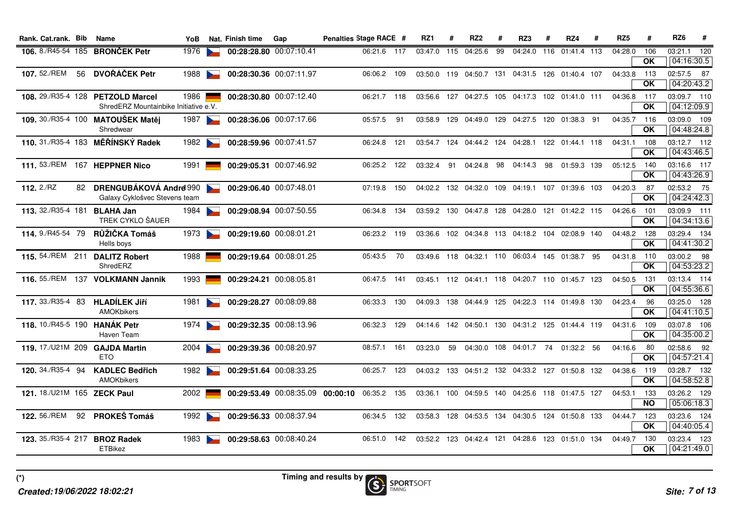| Rank. Cat.rank. Bib      | Name                                       | YoB                                                                                                                                                                                                                                                                                                                                                                                                                                                                                                |                               |                                                                                                                                                     | Gap              |                                                                                                                                                                                                                                                                                                                                                                                                                                                                         |         |     | RZ <sub>1</sub>                                                                                                                                                                                      | #   | RZ <sub>2</sub> | #  | RZ3     | #  | RZ4 | # | RZ <sub>5</sub>                                                                                                                                                                                                                                                                                                                                                                                                                                                                                                                                                                                                                                                                                                                                                                                                                                  | #                                                                                               | RZ <sub>6</sub><br>#                                                 |            |
|--------------------------|--------------------------------------------|----------------------------------------------------------------------------------------------------------------------------------------------------------------------------------------------------------------------------------------------------------------------------------------------------------------------------------------------------------------------------------------------------------------------------------------------------------------------------------------------------|-------------------------------|-----------------------------------------------------------------------------------------------------------------------------------------------------|------------------|-------------------------------------------------------------------------------------------------------------------------------------------------------------------------------------------------------------------------------------------------------------------------------------------------------------------------------------------------------------------------------------------------------------------------------------------------------------------------|---------|-----|------------------------------------------------------------------------------------------------------------------------------------------------------------------------------------------------------|-----|-----------------|----|---------|----|-----|---|--------------------------------------------------------------------------------------------------------------------------------------------------------------------------------------------------------------------------------------------------------------------------------------------------------------------------------------------------------------------------------------------------------------------------------------------------------------------------------------------------------------------------------------------------------------------------------------------------------------------------------------------------------------------------------------------------------------------------------------------------------------------------------------------------------------------------------------------------|-------------------------------------------------------------------------------------------------|----------------------------------------------------------------------|------------|
|                          |                                            | 1976                                                                                                                                                                                                                                                                                                                                                                                                                                                                                               |                               |                                                                                                                                                     |                  |                                                                                                                                                                                                                                                                                                                                                                                                                                                                         |         |     | 03:47.0                                                                                                                                                                                              | 115 | 04:25.6         | 99 |         |    |     |   | 04:28.0                                                                                                                                                                                                                                                                                                                                                                                                                                                                                                                                                                                                                                                                                                                                                                                                                                          | 106                                                                                             | 03:21.1 120                                                          |            |
|                          |                                            |                                                                                                                                                                                                                                                                                                                                                                                                                                                                                                    | $\sim$                        |                                                                                                                                                     |                  |                                                                                                                                                                                                                                                                                                                                                                                                                                                                         |         |     |                                                                                                                                                                                                      |     |                 |    |         |    |     |   |                                                                                                                                                                                                                                                                                                                                                                                                                                                                                                                                                                                                                                                                                                                                                                                                                                                  | 113<br><b>OK</b>                                                                                | 02:57.5 87<br>04:20:43.2                                             |            |
|                          |                                            |                                                                                                                                                                                                                                                                                                                                                                                                                                                                                                    |                               |                                                                                                                                                     |                  |                                                                                                                                                                                                                                                                                                                                                                                                                                                                         |         |     | 03:56.6                                                                                                                                                                                              |     |                 |    |         |    |     |   |                                                                                                                                                                                                                                                                                                                                                                                                                                                                                                                                                                                                                                                                                                                                                                                                                                                  | - 117<br><b>OK</b>                                                                              | 03:09.7 110<br>04:12:09.9                                            |            |
|                          | Shredwear                                  |                                                                                                                                                                                                                                                                                                                                                                                                                                                                                                    |                               |                                                                                                                                                     |                  |                                                                                                                                                                                                                                                                                                                                                                                                                                                                         | 05:57.5 | 91  | 03:58.9                                                                                                                                                                                              |     |                 |    |         |    |     |   |                                                                                                                                                                                                                                                                                                                                                                                                                                                                                                                                                                                                                                                                                                                                                                                                                                                  | <b>OK</b>                                                                                       | 03:09.0 109<br>04:48:24.8                                            |            |
|                          |                                            |                                                                                                                                                                                                                                                                                                                                                                                                                                                                                                    |                               |                                                                                                                                                     |                  |                                                                                                                                                                                                                                                                                                                                                                                                                                                                         | 06:24.8 |     |                                                                                                                                                                                                      |     |                 |    |         |    |     |   |                                                                                                                                                                                                                                                                                                                                                                                                                                                                                                                                                                                                                                                                                                                                                                                                                                                  | 108<br>OK                                                                                       | 03:12.7 112<br>04:43:46.5                                            |            |
|                          |                                            | 1991                                                                                                                                                                                                                                                                                                                                                                                                                                                                                               |                               |                                                                                                                                                     |                  |                                                                                                                                                                                                                                                                                                                                                                                                                                                                         |         |     | 03:32.4                                                                                                                                                                                              | 91  |                 | 98 | 04:14.3 | 98 |     |   |                                                                                                                                                                                                                                                                                                                                                                                                                                                                                                                                                                                                                                                                                                                                                                                                                                                  | 140<br><b>OK</b>                                                                                | 03:16.6 117<br>04:43:26.9                                            |            |
|                          |                                            |                                                                                                                                                                                                                                                                                                                                                                                                                                                                                                    |                               |                                                                                                                                                     |                  |                                                                                                                                                                                                                                                                                                                                                                                                                                                                         | 07:19.8 | 150 |                                                                                                                                                                                                      |     |                 |    |         |    |     |   | 04:20.3                                                                                                                                                                                                                                                                                                                                                                                                                                                                                                                                                                                                                                                                                                                                                                                                                                          | -87<br><b>OK</b>                                                                                | 02:53.2 75<br>04:24:42.3                                             |            |
|                          | TREK CYKLO ŠAUER                           | 1984                                                                                                                                                                                                                                                                                                                                                                                                                                                                                               |                               |                                                                                                                                                     |                  |                                                                                                                                                                                                                                                                                                                                                                                                                                                                         | 06:34.8 |     |                                                                                                                                                                                                      |     |                 |    |         |    |     |   |                                                                                                                                                                                                                                                                                                                                                                                                                                                                                                                                                                                                                                                                                                                                                                                                                                                  | 101<br>ΟK                                                                                       | 03:09.9 111<br>04:34:13.6                                            |            |
| <b>114.</b> 9./R45-54 79 | RŮŽIČKA Tomáš<br>Hells boys                |                                                                                                                                                                                                                                                                                                                                                                                                                                                                                                    |                               |                                                                                                                                                     |                  |                                                                                                                                                                                                                                                                                                                                                                                                                                                                         |         |     | 03:36.6                                                                                                                                                                                              |     |                 |    |         |    |     |   |                                                                                                                                                                                                                                                                                                                                                                                                                                                                                                                                                                                                                                                                                                                                                                                                                                                  | OK                                                                                              | 03:29.4 134<br>04:41:30.2                                            |            |
|                          | ShredERZ                                   | 1988                                                                                                                                                                                                                                                                                                                                                                                                                                                                                               |                               |                                                                                                                                                     |                  |                                                                                                                                                                                                                                                                                                                                                                                                                                                                         | 05:43.5 | 70  |                                                                                                                                                                                                      |     |                 |    |         |    |     |   |                                                                                                                                                                                                                                                                                                                                                                                                                                                                                                                                                                                                                                                                                                                                                                                                                                                  | OK                                                                                              | 03:00.2 98<br>04:53:23.2                                             |            |
|                          |                                            |                                                                                                                                                                                                                                                                                                                                                                                                                                                                                                    |                               |                                                                                                                                                     |                  |                                                                                                                                                                                                                                                                                                                                                                                                                                                                         | 06:47.5 |     |                                                                                                                                                                                                      |     |                 |    |         |    |     |   |                                                                                                                                                                                                                                                                                                                                                                                                                                                                                                                                                                                                                                                                                                                                                                                                                                                  | 131<br>ΟK                                                                                       | 03:13.4 114<br>04:55:36.6                                            |            |
|                          | <b>AMOKbikers</b>                          | 1981                                                                                                                                                                                                                                                                                                                                                                                                                                                                                               |                               |                                                                                                                                                     |                  |                                                                                                                                                                                                                                                                                                                                                                                                                                                                         | 06:33.3 | 130 |                                                                                                                                                                                                      |     |                 |    |         |    |     |   |                                                                                                                                                                                                                                                                                                                                                                                                                                                                                                                                                                                                                                                                                                                                                                                                                                                  | 96<br>OK                                                                                        | 03:25.0 128<br>04:41:10.5                                            |            |
|                          | Haven Team                                 | 1974                                                                                                                                                                                                                                                                                                                                                                                                                                                                                               |                               |                                                                                                                                                     |                  |                                                                                                                                                                                                                                                                                                                                                                                                                                                                         | 06:32.3 | 129 | 04:14.6                                                                                                                                                                                              |     |                 |    |         |    |     |   |                                                                                                                                                                                                                                                                                                                                                                                                                                                                                                                                                                                                                                                                                                                                                                                                                                                  | 109<br>OK                                                                                       | 03:07.8 106<br>04:35:00.2                                            |            |
|                          | <b>ETO</b>                                 | 2004                                                                                                                                                                                                                                                                                                                                                                                                                                                                                               |                               |                                                                                                                                                     |                  |                                                                                                                                                                                                                                                                                                                                                                                                                                                                         | 08:57.1 |     | 03:23.0                                                                                                                                                                                              | 59  |                 |    |         |    |     |   | 04:16.6                                                                                                                                                                                                                                                                                                                                                                                                                                                                                                                                                                                                                                                                                                                                                                                                                                          | 80<br><b>OK</b>                                                                                 | 02:58.6 92<br>04:57:21.4                                             |            |
| <b>120.</b> 34./R35-4 94 | <b>KADLEC Bedřich</b><br><b>AMOKbikers</b> |                                                                                                                                                                                                                                                                                                                                                                                                                                                                                                    |                               |                                                                                                                                                     |                  |                                                                                                                                                                                                                                                                                                                                                                                                                                                                         | 06:25.7 |     |                                                                                                                                                                                                      |     |                 |    |         |    |     |   |                                                                                                                                                                                                                                                                                                                                                                                                                                                                                                                                                                                                                                                                                                                                                                                                                                                  | - 119<br><b>OK</b>                                                                              | 03:28.7 132<br>04:58:52.8                                            |            |
|                          |                                            |                                                                                                                                                                                                                                                                                                                                                                                                                                                                                                    |                               |                                                                                                                                                     |                  |                                                                                                                                                                                                                                                                                                                                                                                                                                                                         |         |     |                                                                                                                                                                                                      |     |                 |    |         |    |     |   |                                                                                                                                                                                                                                                                                                                                                                                                                                                                                                                                                                                                                                                                                                                                                                                                                                                  | 133<br><b>NO</b>                                                                                | 03:26.2 129<br>05:06:18.3                                            |            |
|                          |                                            |                                                                                                                                                                                                                                                                                                                                                                                                                                                                                                    |                               |                                                                                                                                                     |                  |                                                                                                                                                                                                                                                                                                                                                                                                                                                                         | 06:34.5 | 132 | 03:58.3                                                                                                                                                                                              |     |                 |    |         |    |     |   | 04:44.7                                                                                                                                                                                                                                                                                                                                                                                                                                                                                                                                                                                                                                                                                                                                                                                                                                          | 123<br><b>OK</b>                                                                                | 03:23.6 124<br>04:40:05.4                                            |            |
|                          | <b>ETBikez</b>                             |                                                                                                                                                                                                                                                                                                                                                                                                                                                                                                    |                               |                                                                                                                                                     |                  |                                                                                                                                                                                                                                                                                                                                                                                                                                                                         |         |     |                                                                                                                                                                                                      |     |                 |    |         |    |     |   | 04:49.7                                                                                                                                                                                                                                                                                                                                                                                                                                                                                                                                                                                                                                                                                                                                                                                                                                          | 130<br><b>OK</b>                                                                                | 03:23.4 123<br>04:21:49.0                                            |            |
|                          |                                            | 106. 8./R45-54 185 BRONCEK Petr<br>56 DVOŘÁČEK Petr<br>108. 29./R35-4 128 PETZOLD Marcel<br>109. 30./R35-4 100 MATOUŠEK Matěj<br>110. 31./R35-4 183 MĚŘÍNSKÝ Radek<br>111. 53./REM 167 HEPPNER Nico<br>113. 32./R35-4 181 BLAHA Jan<br>115. 54./REM 211 DALITZ Robert<br>116. 55./REM 137 VOLKMANN Jannik<br>117. 33./R35-4 83 HLADÍLEK JIří<br>118. 10./R45-5 190 HANÁK Petr<br>119. 17./U21M 209 GAJDA Martin<br>121. 18./U21M 165 ZECK Paul<br>92 PROKEŠ Tomáš<br>123. 35./R35-4 217 BROZ Radek | Galaxy Cyklošvec Stevens team | 1988<br>1986<br>ShredERZ Mountainbike Initiative e.V.<br>1987<br>1982<br>82 DRENGUBÁKOVÁ Andrei 990<br>1973<br>1993<br>1982<br>2002<br>1992<br>1983 | Nat. Finish time | 00:28:28.80 00:07:10.41<br>00:28:30.36 00:07:11.97<br>00:28:30.80 00:07:12.40<br>00:28:36.06 00:07:17.66<br>00:28:59.96 00:07:41.57<br>00:29:05.31 00:07:46.92<br>00:29:06.40 00:07:48.01<br>00:29:08.94 00:07:50.55<br>00:29:19.60 00:08:01.21<br>00:29:19.64 00:08:01.25<br>00:29:24.21 00:08:05.81<br>00:29:28.27 00:08:09.88<br>00:29:32.35 00:08:13.96<br>00:29:39.36 00:08:20.97<br>00:29:51.64 00:08:33.25<br>00:29:56.33 00:08:37.94<br>00:29:58.63 00:08:40.24 |         |     | Penalties Stage RACE #<br>06:21.6 117<br>06:06.2 109<br>06:21.7 118<br>-121<br>06:25.2 122<br>134<br>06:23.2 119<br>141<br>161<br>123<br>00:29:53.49 00:08:35.09 00:00:10 06:35.2 135<br>06:51.0 142 |     |                 |    | 04:24.8 |    |     |   | 04:24.0 116 01:41.4 113<br>03:50.0 119 04:50.7 131 04:31.5 126 01:40.4 107<br>127  04:27.5  105  04:17.3  102  01:41.0  111<br>129  04:49.0  129  04:27.5  120  01:38.3  91<br>03:54.7 124 04:44.2 124 04:28.1 122 01:44.1 118<br>01:59.3 139<br>04:02.2 132 04:32.0 109 04:19.1 107 01:39.6 103<br>03:59.2 130 04:47.8 128 04:28.0 121 01:42.2 115<br>102 04:34.8 113 04:18.2 104 02:08.9 140<br>03:49.6 118 04:32.1 110 06:03.4 145 01:38.7 95<br>03:45.1 112 04:41.1 118 04:20.7 110 01:45.7 123<br>04:09.3 138 04:44.9 125 04:22.3 114 01:49.8 130<br>142  04:50.1  130  04:31.2  125  01:44.4  119<br>04:30.0 108 04:01.7 74 01:32.2 56<br>04:03.2 133 04:51.2 132 04:33.2 127 01:50.8 132<br>03:36.1 100 04:59.5 140 04:25.6 118 01:47.5 127<br>128 04:53.5 134 04:30.5 124 01:50.8 133<br>03:52.2 123 04:42.4 121 04:28.6 123 01:51.0 134 | 04:33.8<br>04:31.1<br>05:12.5<br>04:26.6<br>04:50.5<br>04:23.4<br>04:31.6<br>04:38.6<br>04:53.1 | <b>OK</b><br>04:36.8<br>04:35.7<br>116<br>04:48.2 128<br>04:31.8 110 | 04:16:30.5 |

**(\*)**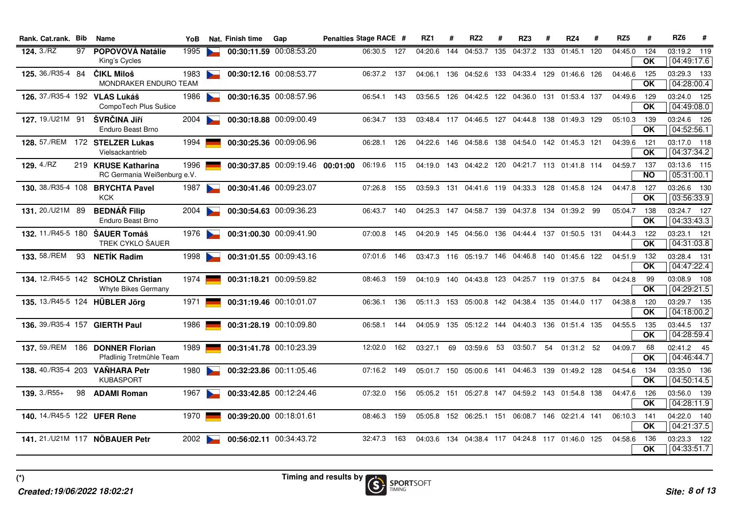| Rank. Cat.rank. Bib            |    | Name                                                        | YoB    | Nat. Finish time        | Gap                              | Penalties Stage RACE # |             |       | RZ1     | #   | RZ <sub>2</sub>                                        | -#  | RZ3     | #   | RZ4             | # | RZ <sub>5</sub> | #                | RZ6<br>#                     |
|--------------------------------|----|-------------------------------------------------------------|--------|-------------------------|----------------------------------|------------------------|-------------|-------|---------|-----|--------------------------------------------------------|-----|---------|-----|-----------------|---|-----------------|------------------|------------------------------|
| 124.3/RZ                       | 97 | <b>POPOVOVÁ Natálie</b><br>King's Cycles                    | 1995   |                         | 00:30:11.59 00:08:53.20          | 06:30.5                |             | 127   | 04:20.6 | 144 | 04:53.7                                                | 135 | 04:37.2 | 133 | 01:45.1 120     |   | 04:45.0         | 124<br><b>OK</b> | 03:19.2<br>119<br>04:49:17.6 |
| 125, 36./R35-4 84              |    | ČIKL Miloš<br><b>MONDRAKER ENDURO TEAM</b>                  | 1983   |                         | 00:30:12.16 00:08:53.77          |                        | 06:37.2 137 |       |         |     | 04:06.1 136 04:52.6 133 04:33.4 129 01:46.6 126        |     |         |     |                 |   | 04:46.6         | 125<br><b>OK</b> | 03:29.3 133<br>04:28:00.4    |
| 126. 37./R35-4 192 VLAS Lukáš  |    | CompoTech Plus Sušice                                       | 1986   |                         | 00:30:16.35 00:08:57.96          | 06:54.1                |             | 143   |         |     | 03:56.5 126 04:42.5 122 04:36.0 131 01:53.4 137        |     |         |     |                 |   | 04:49.6         | 129<br><b>OK</b> | 03:24.0 125<br>04:49:08.0    |
| 127.19./U21M 91                |    | ŠVRČINA Jiří<br><b>Enduro Beast Brno</b>                    | 2004   |                         | 00:30:18.88 00:09:00.49          | 06:34.7                |             | 133   |         |     | 03:48.4 117 04:46.5 127 04:44.8 138 01:49.3 129        |     |         |     |                 |   | 05:10.3         | 139<br><b>OK</b> | 03:24.6 126<br>04:52:56.1    |
|                                |    | 128. 57./REM 172 STELZER Lukas<br>Vielsackantrieb           | 1994   |                         | 00:30:25.36 00:09:06.96          | 06:28.1                |             | 126   |         |     | 04:22.6 146 04:58.6 138 04:54.0 142 01:45.3 121        |     |         |     |                 |   | 04:39.6         | 121<br><b>OK</b> | 03:17.0 118<br>04:37:34.2    |
| 129. 4./RZ                     |    | 219 KRUSE Katharina<br>RC Germania Weißenburg e.V.          | 1996   |                         | 00:30:37.85 00:09:19.46 00:01:00 |                        | 06:19.6 115 |       |         |     | 04:19.0 143 04:42.2 120 04:21.7 113 01:41.8 114        |     |         |     |                 |   | 04:59.7         | 137<br><b>NO</b> | 03:13.6 115<br>05:31:00.1    |
|                                |    | 130. 38./R35-4 108 BRYCHTA Pavel<br><b>KCK</b>              | 1987   |                         | 00:30:41.46 00:09:23.07          | 07:26.8                |             | 155   |         |     | 03:59.3 131 04:41.6 119 04:33.3 128 01:45.8 124        |     |         |     |                 |   | 04:47.8         | 127<br><b>OK</b> | 03:26.6 130<br>03:56:33.9    |
| 131.20./U21M 89                |    | <b>BEDNÁŘ Filip</b><br>Enduro Beast Brno                    | 2004   |                         | 00:30:54.63 00:09:36.23          | 06:43.7                |             | 140   |         |     | 04:25.3 147 04:58.7 139 04:37.8 134 01:39.2 99         |     |         |     |                 |   | 05:04.7         | 138<br><b>OK</b> | 03:24.7 127<br>04:33:43.3    |
| 132. 11./R45-5 180 ŠAUER Tomáš |    | TREK CYKLO ŠAUER                                            | 1976 L |                         | 00:31:00.30 00:09:41.90          | 07:00.8                |             | 145   |         |     | 04:20.9 145 04:56.0 136 04:44.4 137 01:50.5 131        |     |         |     |                 |   | 04:44.3         | 122<br><b>OK</b> | 03:23.1 121<br>04:31:03.8    |
| <b>133.</b> 58./REM            | 93 | <b>NETIK Radim</b>                                          | 1998   |                         | 00:31:01.55 00:09:43.16          | 07:01.6                |             | - 146 |         |     | 03:47.3 116 05:19.7 146 04:46.8 140 01:45.6 122        |     |         |     |                 |   | 04:51.9         | 132<br><b>OK</b> | 03:28.4 131<br>04:47:22.4    |
|                                |    | 134. 12./R45-5 142 SCHOLZ Christian<br>Whyte Bikes Germany  | 1974   |                         | 00:31:18.21 00:09:59.82          | 08:46.3                |             | 159   |         |     | 04:10.9 140 04:43.8 123 04:25.7 119 01:37.5 84         |     |         |     |                 |   | 04:24.8         | 99<br>OK         | 03:08.9 108<br>04:29:21.5    |
| 135. 13./R45-5 124 HÜBLER Jörg |    |                                                             | 1971   |                         | 00:31:19.46 00:10:01.07          | 06:36.1                |             | 136   |         |     | 05:11.3 153 05:00.8 142 04:38.4 135 01:44.0 117        |     |         |     |                 |   | 04:38.8         | 120<br><b>OK</b> | 03:29.7 135<br>04:18:00.2    |
| 136. 39./R35-4 157 GIERTH Paul |    |                                                             | 1986   |                         | 00:31:28.19 00:10:09.80          | 06:58.1                |             | 144   |         |     | 04:05.9  135  05:12.2  144  04:40.3  136  01:51.4  135 |     |         |     |                 |   | 04:55.5         | 135<br><b>OK</b> | 03:44.5 137<br>04:28:59.4    |
|                                |    | 137. 59./REM 186 DONNER Florian<br>Pfadlinig Tretmühle Team | 1989   |                         | 00:31:41.78 00:10:23.39          | 12:02.0                |             | 162   | 03:27.1 | 69  | 03:59.6                                                | 53  | 03:50.7 | 54  | 01:31.2 52      |   | 04:09.7         | 68<br><b>OK</b>  | 02:41.2 45<br>04:46:44.7     |
|                                |    | 138. 40./R35-4 203 VAŇHARA Petr<br><b>KUBASPORT</b>         | 1980   |                         | 00:32:23.86 00:11:05.46          |                        | 07:16.2 149 |       |         |     | 05:01.7 150 05:00.6 141 04:46.3                        |     |         |     | 139 01:49.2 128 |   | 04:54.6         | 134<br><b>OK</b> | 03:35.0 136<br>04:50:14.5    |
| $139.3/RS5+$                   | 98 | <b>ADAMI Roman</b>                                          | 1967   |                         | 00:33:42.85 00:12:24.46          | 07:32.0                |             | 156   |         |     | 05:05.2  151  05:27.8  147  04:59.2  143  01:54.8  138 |     |         |     |                 |   | 04:47.6         | 126<br><b>OK</b> | 03:56.0 139<br>04:28:11.9    |
| 140. 14./R45-5 122 UFER Rene   |    |                                                             | 1970   | 00:39:20.00 00:18:01.61 |                                  |                        | 08:46.3 159 |       |         |     | 05:05.8 152 06:25.1 151 06:08.7 146 02:21.4 141        |     |         |     |                 |   | 06:10.3         | 141<br><b>OK</b> | 04:22.0 140<br>04:21:37.5    |
| 141. 21./U21M 117 NÖBAUER Petr |    |                                                             | 2002   |                         | 00:56:02.11 00:34:43.72          | 32:47.3                |             | 163   |         |     | 04:03.6 134 04:38.4 117 04:24.8 117 01:46.0 125        |     |         |     |                 |   | 04:58.6         | 136<br>ΟK        | 03:23.3 122<br>04:33:51.7    |

**(\*)**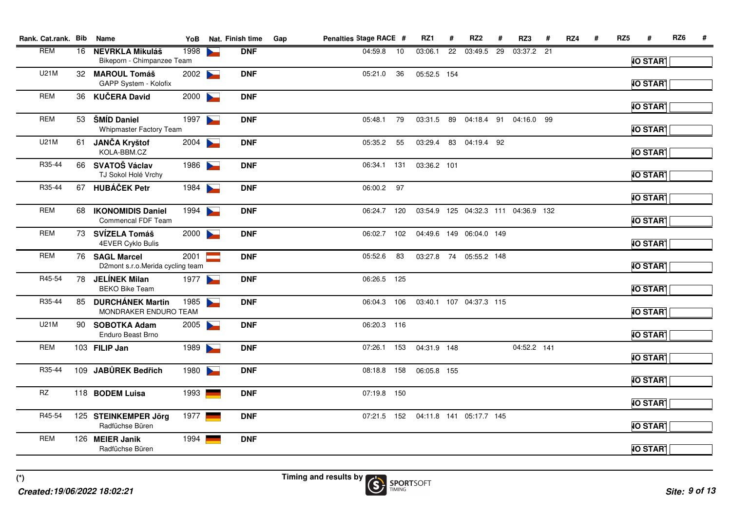| Rank. Cat.rank. Bib |    | <b>Name</b>                                          | YoB  | Nat. Finish time | Gap | Penalties Stage RACE # |     | RZ1         | #  | RZ <sub>2</sub>         | #  | RZ3                                 | RZ4 | RZ <sub>5</sub> |                 | RZ6 | # |
|---------------------|----|------------------------------------------------------|------|------------------|-----|------------------------|-----|-------------|----|-------------------------|----|-------------------------------------|-----|-----------------|-----------------|-----|---|
| <b>REM</b>          | 16 | <b>NEVRKLA Mikuláš</b><br>Bikeporn - Chimpanzee Team | 1998 | <b>DNF</b>       |     | 04:59.8                | 10  | 03:06.1     | 22 | 03:49.5                 | 29 | 03:37.2 21                          |     |                 | <b>IO START</b> |     |   |
| <b>U21M</b>         |    | 32 MAROUL Tomáš<br>GAPP System - Kolofix             | 2002 | <b>DNF</b>       |     | 05:21.0                | 36  | 05:52.5 154 |    |                         |    |                                     |     |                 | <b>IO START</b> |     |   |
| <b>REM</b>          | 36 | <b>KUČERA David</b>                                  | 2000 | <b>DNF</b>       |     |                        |     |             |    |                         |    |                                     |     |                 | <b>IO START</b> |     |   |
| <b>REM</b>          | 53 | ŠMÍD Daniel<br>Whipmaster Factory Team               | 1997 | <b>DNF</b>       |     | 05:48.1                | 79  |             |    |                         |    | 03:31.5 89 04:18.4 91 04:16.0 99    |     |                 | <b>IO START</b> |     |   |
| <b>U21M</b>         | 61 | <b>JANČA Kryštof</b><br>KOLA-BBM.CZ                  | 2004 | <b>DNF</b>       |     | 05:35.2                | 55  | 03:29.4     |    | 83 04:19.4 92           |    |                                     |     |                 | <b>IO START</b> |     |   |
| R35-44              |    | 66 SVATOŠ Václav<br>TJ Sokol Holé Vrchy              | 1986 | <b>DNF</b>       |     | 06:34.1                | 131 | 03:36.2 101 |    |                         |    |                                     |     |                 | <b>IO START</b> |     |   |
| R35-44              | 67 | <b>HUBÁČEK Petr</b>                                  | 1984 | <b>DNF</b>       |     | 06:00.2 97             |     |             |    |                         |    |                                     |     |                 | <b>IO START</b> |     |   |
| <b>REM</b>          | 68 | <b>IKONOMIDIS Daniel</b><br>Commencal FDF Team       | 1994 | <b>DNF</b>       |     | 06:24.7                | 120 |             |    |                         |    | 03:54.9 125 04:32.3 111 04:36.9 132 |     |                 | <b>IO START</b> |     |   |
| <b>REM</b>          |    | 73 SVÍZELA Tomáš<br>4EVER Cyklo Bulis                | 2000 | <b>DNF</b>       |     | 06:02.7                | 102 |             |    | 04:49.6 149 06:04.0 149 |    |                                     |     |                 | <b>IO START</b> |     |   |
| <b>REM</b>          |    | 76 SAGL Marcel<br>D2mont s.r.o.Merida cycling team   | 2001 | <b>DNF</b>       |     | 05:52.6                | 83  |             |    | 03:27.8 74 05:55.2 148  |    |                                     |     |                 | <b>IO START</b> |     |   |
| R45-54              | 78 | <b>JELÍNEK Milan</b><br><b>BEKO Bike Team</b>        | 1977 | <b>DNF</b>       |     | 06:26.5 125            |     |             |    |                         |    |                                     |     |                 | <b>IO START</b> |     |   |
| R35-44              |    | 85 DURCHÁNEK Martin<br>MONDRAKER ENDURO TEAM         | 1985 | <b>DNF</b>       |     | 06:04.3 106            |     |             |    | 03:40.1 107 04:37.3 115 |    |                                     |     |                 | <b>IO START</b> |     |   |
| <b>U21M</b>         |    | 90 SOBOTKA Adam<br>Enduro Beast Brno                 | 2005 | <b>DNF</b>       |     | 06:20.3 116            |     |             |    |                         |    |                                     |     |                 | <b>IO START</b> |     |   |
| <b>REM</b>          |    | 103 FILIP Jan                                        | 1989 | <b>DNF</b>       |     | 07:26.1 153            |     | 04:31.9 148 |    |                         |    | 04:52.2 141                         |     |                 | <b>IO START</b> |     |   |
| R35-44              |    | 109 JABŮREK Bedřich                                  | 1980 | <b>DNF</b>       |     | 08:18.8 158            |     | 06:05.8 155 |    |                         |    |                                     |     |                 | <b>IO START</b> |     |   |
| <b>RZ</b>           |    | 118 BODEM Luisa                                      | 1993 | <b>DNF</b>       |     | 07:19.8 150            |     |             |    |                         |    |                                     |     |                 | <b>IO START</b> |     |   |
| R45-54              |    | 125 STEINKEMPER Jörg<br>Radfüchse Büren              | 1977 | <b>DNF</b>       |     | 07:21.5 152            |     |             |    | 04:11.8 141 05:17.7 145 |    |                                     |     |                 | <b>IO START</b> |     |   |
| <b>REM</b>          |    | 126 MEIER Janik<br>Radfüchse Büren                   | 1994 | <b>DNF</b>       |     |                        |     |             |    |                         |    |                                     |     |                 | <b>IO START</b> |     |   |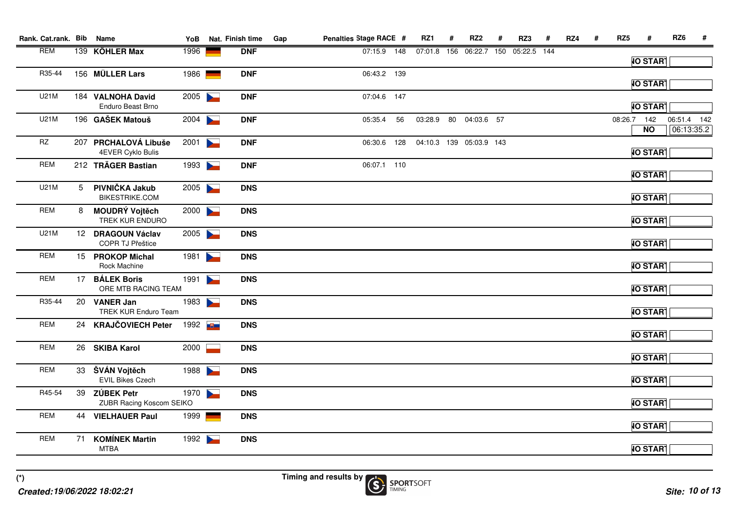| Rank. Cat.rank. Bib    |    | Name                                            | YoB    |                       | Nat. Finish time | Gap | Penalties Stage RACE # |     | RZ1     | #   | RZ <sub>2</sub>         | #   | RZ3         | # | RZ4 | # | RZ <sub>5</sub> | #               | RZ <sub>6</sub> | #                         |
|------------------------|----|-------------------------------------------------|--------|-----------------------|------------------|-----|------------------------|-----|---------|-----|-------------------------|-----|-------------|---|-----|---|-----------------|-----------------|-----------------|---------------------------|
| <b>REM</b>             |    | 139 KÖHLER Max                                  | 1996   |                       | <b>DNF</b>       |     | 07:15.9 148            |     | 07:01.8 | 156 | 06:22.7                 | 150 | 05:22.5 144 |   |     |   |                 |                 |                 |                           |
|                        |    |                                                 |        |                       |                  |     |                        |     |         |     |                         |     |             |   |     |   |                 | <b>IO START</b> |                 |                           |
| R35-44                 |    | 156 MÜLLER Lars                                 | 1986   | e and                 | <b>DNF</b>       |     | 06:43.2 139            |     |         |     |                         |     |             |   |     |   |                 | <b>IO START</b> |                 |                           |
| <b>U21M</b>            |    | 184 VALNOHA David<br><b>Enduro Beast Brno</b>   | 2005   |                       | <b>DNF</b>       |     | 07:04.6 147            |     |         |     |                         |     |             |   |     |   |                 | <b>IO START</b> |                 |                           |
| <b>U21M</b>            |    | 196 GAŠEK Matouš                                | 2004   |                       | <b>DNF</b>       |     | 05:35.4                | 56  |         |     | 03:28.9 80 04:03.6 57   |     |             |   |     |   | 08:26.7 142     | $N$ O           |                 | 06:51.4 142<br>06:13:35.2 |
| $\mathsf{R}\mathsf{Z}$ |    | 207 PRCHALOVÁ Libuše<br>4EVER Cyklo Bulis       | 2001   | $\blacktriangleright$ | <b>DNF</b>       |     | 06:30.6                | 128 |         |     | 04:10.3 139 05:03.9 143 |     |             |   |     |   |                 | <b>IO START</b> |                 |                           |
| <b>REM</b>             |    | 212 TRÄGER Bastian                              | 1993   |                       | <b>DNF</b>       |     | 06:07.1 110            |     |         |     |                         |     |             |   |     |   |                 | <b>IO START</b> |                 |                           |
| <b>U21M</b>            | 5  | PIVNIČKA Jakub<br><b>BIKESTRIKE.COM</b>         | 2005   |                       | <b>DNS</b>       |     |                        |     |         |     |                         |     |             |   |     |   |                 | <b>IO START</b> |                 |                           |
| <b>REM</b>             | 8  | <b>MOUDRÝ Vojtěch</b><br>TREK KUR ENDURO        | 2000   |                       | <b>DNS</b>       |     |                        |     |         |     |                         |     |             |   |     |   |                 | <b>IO START</b> |                 |                           |
| <b>U21M</b>            |    | 12 DRAGOUN Václav<br>COPR TJ Přeštice           | 2005   |                       | <b>DNS</b>       |     |                        |     |         |     |                         |     |             |   |     |   |                 | <b>IO START</b> |                 |                           |
| <b>REM</b>             |    | 15 PROKOP Michal<br>Rock Machine                | 1981   | $\blacktriangleright$ | <b>DNS</b>       |     |                        |     |         |     |                         |     |             |   |     |   |                 | <b>IO START</b> |                 |                           |
| <b>REM</b>             |    | 17 BÁLEK Boris<br>ORE MTB RACING TEAM           | 1991   | $\blacktriangleright$ | <b>DNS</b>       |     |                        |     |         |     |                         |     |             |   |     |   |                 | <b>IO START</b> |                 |                           |
| R35-44                 | 20 | <b>VANER Jan</b><br><b>TREK KUR Enduro Team</b> | 1983   |                       | <b>DNS</b>       |     |                        |     |         |     |                         |     |             |   |     |   |                 | <b>IO START</b> |                 |                           |
| <b>REM</b>             |    | 24 KRAJČOVIECH Peter                            | 1992 U |                       | <b>DNS</b>       |     |                        |     |         |     |                         |     |             |   |     |   |                 | <b>IO START</b> |                 |                           |
| <b>REM</b>             |    | 26 SKIBA Karol                                  | 2000   |                       | <b>DNS</b>       |     |                        |     |         |     |                         |     |             |   |     |   |                 | <b>IO START</b> |                 |                           |
| <b>REM</b>             |    | 33 ŠVÁN Vojtěch<br><b>EVIL Bikes Czech</b>      | 1988   |                       | <b>DNS</b>       |     |                        |     |         |     |                         |     |             |   |     |   |                 | <b>IO START</b> |                 |                           |
| R45-54                 |    | 39 ZÚBEK Petr<br>ZUBR Racing Koscom SEIKO       | 1970   |                       | <b>DNS</b>       |     |                        |     |         |     |                         |     |             |   |     |   |                 | <b>IO START</b> |                 |                           |
| <b>REM</b>             |    | 44 VIELHAUER Paul                               | 1999   | <u> Serviçor</u>      | <b>DNS</b>       |     |                        |     |         |     |                         |     |             |   |     |   |                 | <b>IO START</b> |                 |                           |
| <b>REM</b>             | 71 | <b>KOMÍNEK Martin</b><br><b>MTBA</b>            | 1992   |                       | <b>DNS</b>       |     |                        |     |         |     |                         |     |             |   |     |   |                 | <b>IO START</b> |                 |                           |

**Timing and results by**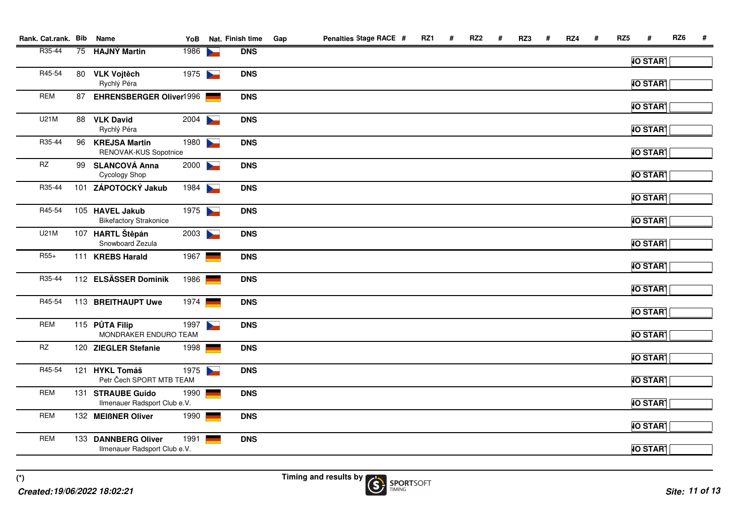| Rank. Cat.rank. Bib    |    | Name                                                | YoB  | Nat. Finish time | Gap | Penalties Stage RACE # | RZ1 | # | RZ <sub>2</sub> | # | RZ3 | # | RZ4 | # | RZ <sub>5</sub> | #               | RZ6 | # |
|------------------------|----|-----------------------------------------------------|------|------------------|-----|------------------------|-----|---|-----------------|---|-----|---|-----|---|-----------------|-----------------|-----|---|
| R35-44                 | 75 | <b>HAJNÝ Martin</b>                                 | 1986 | <b>DNS</b>       |     |                        |     |   |                 |   |     |   |     |   |                 | <b>IO START</b> |     |   |
| R45-54                 |    | 80 VLK Vojtěch<br>Rychlý Péra                       | 1975 | <b>DNS</b>       |     |                        |     |   |                 |   |     |   |     |   |                 | <b>IO START</b> |     |   |
| <b>REM</b>             | 87 | <b>EHRENSBERGER Oliver1996</b>                      |      | <b>DNS</b>       |     |                        |     |   |                 |   |     |   |     |   |                 | <b>IO START</b> |     |   |
| U21M                   |    | 88 VLK David<br>Rychlý Péra                         | 2004 | <b>DNS</b>       |     |                        |     |   |                 |   |     |   |     |   |                 | <b>IO START</b> |     |   |
| R35-44                 |    | 96 KREJSA Martin<br>RENOVAK-KUS Sopotnice           | 1980 | <b>DNS</b>       |     |                        |     |   |                 |   |     |   |     |   |                 | <b>IO START</b> |     |   |
| $\mathsf{R}\mathsf{Z}$ |    | 99 SLANCOVÁ Anna<br>Cycology Shop                   | 2000 | <b>DNS</b>       |     |                        |     |   |                 |   |     |   |     |   |                 | <b>IO START</b> |     |   |
| R35-44                 |    | 101 ZÁPOTOCKÝ Jakub                                 | 1984 | <b>DNS</b>       |     |                        |     |   |                 |   |     |   |     |   |                 | <b>IO START</b> |     |   |
| R45-54                 |    | 105 HAVEL Jakub<br><b>Bikefactory Strakonice</b>    | 1975 | <b>DNS</b>       |     |                        |     |   |                 |   |     |   |     |   |                 | <b>IO START</b> |     |   |
| U21M                   |    | 107 HARTL Štěpán<br>Snowboard Zezula                | 2003 | <b>DNS</b>       |     |                        |     |   |                 |   |     |   |     |   |                 | <b>IO START</b> |     |   |
| $R55+$                 |    | 111 KREBS Harald                                    | 1967 | <b>DNS</b>       |     |                        |     |   |                 |   |     |   |     |   |                 | <b>IO START</b> |     |   |
| R35-44                 |    | 112 ELSÄSSER Dominik                                | 1986 | <b>DNS</b>       |     |                        |     |   |                 |   |     |   |     |   |                 | <b>IO START</b> |     |   |
| R45-54                 |    | 113 BREITHAUPT Uwe                                  | 1974 | <b>DNS</b>       |     |                        |     |   |                 |   |     |   |     |   |                 | <b>IO START</b> |     |   |
| <b>REM</b>             |    | 115 PŮTA Filip<br>MONDRAKER ENDURO TEAM             | 1997 | <b>DNS</b>       |     |                        |     |   |                 |   |     |   |     |   |                 | <b>IO START</b> |     |   |
| <b>RZ</b>              |    | 120 ZIEGLER Stefanie                                | 1998 | <b>DNS</b>       |     |                        |     |   |                 |   |     |   |     |   |                 | <b>IO START</b> |     |   |
| R45-54                 |    | 121 HYKL Tomáš<br>Petr Čech SPORT MTB TEAM          | 1975 | <b>DNS</b>       |     |                        |     |   |                 |   |     |   |     |   |                 | <b>IO START</b> |     |   |
| <b>REM</b>             |    | 131 STRAUBE Guido<br>Ilmenauer Radsport Club e.V.   | 1990 | <b>DNS</b>       |     |                        |     |   |                 |   |     |   |     |   |                 | <b>IO START</b> |     |   |
| <b>REM</b>             |    | 132 MEIßNER Oliver                                  | 1990 | <b>DNS</b>       |     |                        |     |   |                 |   |     |   |     |   |                 | <b>IO START</b> |     |   |
| <b>REM</b>             |    | 133 DANNBERG Oliver<br>Ilmenauer Radsport Club e.V. | 1991 | <b>DNS</b>       |     |                        |     |   |                 |   |     |   |     |   |                 | <b>IO START</b> |     |   |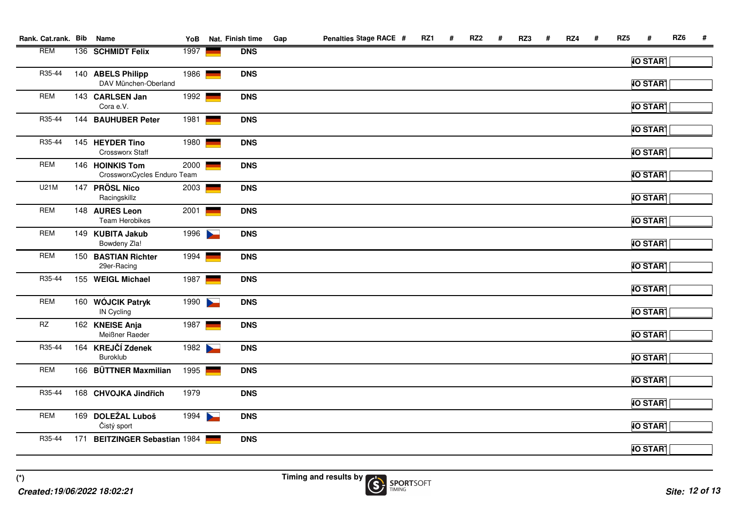| Rank. Cat.rank. Bib    | Name                                           | YoB  |                                    | Nat. Finish time | Gap | Penalties Stage RACE # | RZ1 | # | RZ <sub>2</sub> | # | RZ3 | # | RZ4 | # | RZ <sub>5</sub> | #               | RZ6 | # |
|------------------------|------------------------------------------------|------|------------------------------------|------------------|-----|------------------------|-----|---|-----------------|---|-----|---|-----|---|-----------------|-----------------|-----|---|
| <b>REM</b>             | 136 SCHMIDT Felix                              | 1997 |                                    | <b>DNS</b>       |     |                        |     |   |                 |   |     |   |     |   |                 | <b>IO START</b> |     |   |
| R35-44                 | 140 ABELS Philipp<br>DAV München-Oberland      | 1986 | $\equiv$                           | <b>DNS</b>       |     |                        |     |   |                 |   |     |   |     |   |                 | <b>IO START</b> |     |   |
| <b>REM</b>             | 143 CARLSEN Jan<br>Cora e.V.                   | 1992 | $\mathbb{R}^{\mathbb{Z}}$          | <b>DNS</b>       |     |                        |     |   |                 |   |     |   |     |   |                 | <b>IO START</b> |     |   |
| R35-44                 | 144 BAUHUBER Peter                             | 1981 | $\mathbb{R}^{\mathbb{Z}^{\times}}$ | <b>DNS</b>       |     |                        |     |   |                 |   |     |   |     |   |                 | <b>IO START</b> |     |   |
| R35-44                 | 145 HEYDER Tino<br>Crossworx Staff             | 1980 | $\overline{\phantom{0}}$           | <b>DNS</b>       |     |                        |     |   |                 |   |     |   |     |   |                 | <b>IO START</b> |     |   |
| <b>REM</b>             | 146 HOINKIS Tom<br>CrossworxCycles Enduro Team | 2000 | $\sim$                             | <b>DNS</b>       |     |                        |     |   |                 |   |     |   |     |   |                 | <b>IO START</b> |     |   |
| <b>U21M</b>            | 147 PRÖSL Nico<br>Racingskillz                 | 2003 |                                    | <b>DNS</b>       |     |                        |     |   |                 |   |     |   |     |   |                 | <b>IO START</b> |     |   |
| <b>REM</b>             | 148 AURES Leon<br>Team Herobikes               | 2001 |                                    | <b>DNS</b>       |     |                        |     |   |                 |   |     |   |     |   |                 | <b>IO START</b> |     |   |
| <b>REM</b>             | 149 KUBITA Jakub<br>Bowdeny Zla!               | 1996 |                                    | <b>DNS</b>       |     |                        |     |   |                 |   |     |   |     |   |                 | <b>IO START</b> |     |   |
| <b>REM</b>             | 150 BASTIAN Richter<br>29er-Racing             | 1994 |                                    | <b>DNS</b>       |     |                        |     |   |                 |   |     |   |     |   |                 | <b>IO START</b> |     |   |
| R35-44                 | 155 WEIGL Michael                              | 1987 |                                    | <b>DNS</b>       |     |                        |     |   |                 |   |     |   |     |   |                 | <b>IO START</b> |     |   |
| <b>REM</b>             | 160 WÓJCIK Patryk<br><b>IN Cycling</b>         | 1990 |                                    | <b>DNS</b>       |     |                        |     |   |                 |   |     |   |     |   |                 | <b>IO START</b> |     |   |
| $\mathsf{R}\mathsf{Z}$ | 162 KNEISE Anja<br>Meißner Raeder              | 1987 |                                    | <b>DNS</b>       |     |                        |     |   |                 |   |     |   |     |   |                 | <b>IO START</b> |     |   |
| R35-44                 | 164 KREJČÍ Zdenek<br>Buroklub                  | 1982 |                                    | <b>DNS</b>       |     |                        |     |   |                 |   |     |   |     |   |                 | <b>IO START</b> |     |   |
| <b>REM</b>             | 166 BÜTTNER Maxmilian                          | 1995 |                                    | <b>DNS</b>       |     |                        |     |   |                 |   |     |   |     |   |                 | <b>IO START</b> |     |   |
| R35-44                 | 168 CHVOJKA Jindřich                           | 1979 |                                    | <b>DNS</b>       |     |                        |     |   |                 |   |     |   |     |   |                 | <b>IO START</b> |     |   |
| <b>REM</b>             | 169 DOLEŽAL Luboš<br>Čistý sport               | 1994 |                                    | <b>DNS</b>       |     |                        |     |   |                 |   |     |   |     |   |                 | <b>IO START</b> |     |   |
| R35-44                 | 171 BEITZINGER Sebastian 1984                  |      |                                    | <b>DNS</b>       |     |                        |     |   |                 |   |     |   |     |   |                 | <b>IO START</b> |     |   |
|                        |                                                |      |                                    |                  |     |                        |     |   |                 |   |     |   |     |   |                 |                 |     |   |